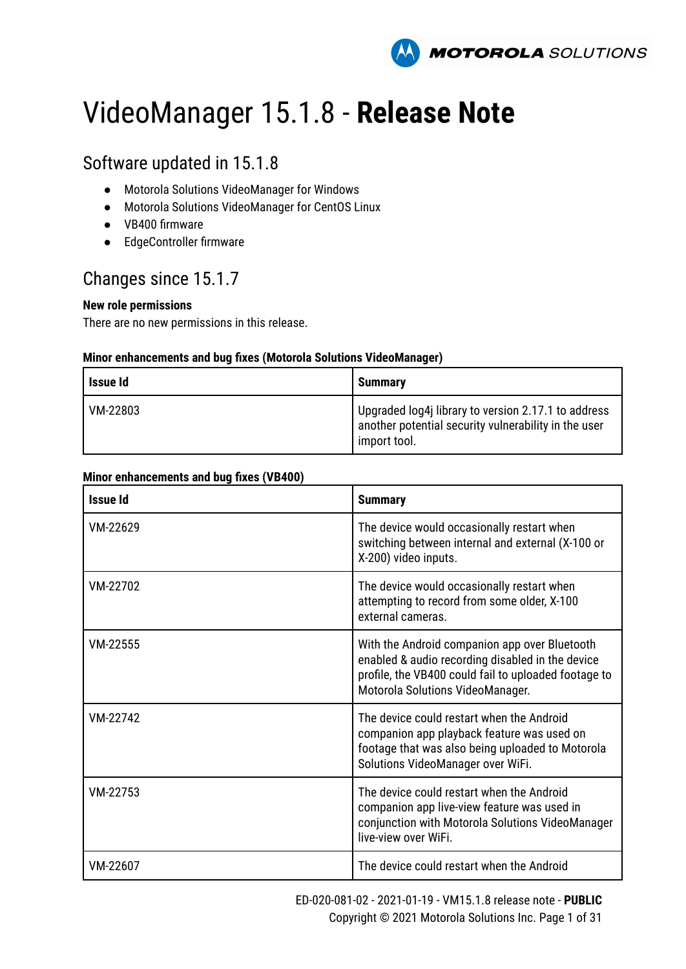

# VideoManager 15.1.8 - **Release Note**

### Software updated in 15.1.8

- Motorola Solutions VideoManager for Windows
- Motorola Solutions VideoManager for CentOS Linux
- VB400 firmware
- EdgeController firmware

### Changes since 15.1.7

#### **New role permissions**

There are no new permissions in this release.

#### **Minor enhancements and bug fixes (Motorola Solutions VideoManager)**

| Issue Id | <b>Summary</b>                                                                                                              |
|----------|-----------------------------------------------------------------------------------------------------------------------------|
| VM-22803 | Upgraded log4j library to version 2.17.1 to address<br>another potential security vulnerability in the user<br>import tool. |

| <b>Issue Id</b> | <b>Summary</b>                                                                                                                                                                                |
|-----------------|-----------------------------------------------------------------------------------------------------------------------------------------------------------------------------------------------|
| VM-22629        | The device would occasionally restart when<br>switching between internal and external (X-100 or<br>X-200) video inputs.                                                                       |
| VM-22702        | The device would occasionally restart when<br>attempting to record from some older, X-100<br>external cameras.                                                                                |
| VM-22555        | With the Android companion app over Bluetooth<br>enabled & audio recording disabled in the device<br>profile, the VB400 could fail to uploaded footage to<br>Motorola Solutions VideoManager. |
| VM-22742        | The device could restart when the Android<br>companion app playback feature was used on<br>footage that was also being uploaded to Motorola<br>Solutions VideoManager over WiFi.              |
| VM-22753        | The device could restart when the Android<br>companion app live-view feature was used in<br>conjunction with Motorola Solutions VideoManager<br>live-view over WiFi.                          |
| VM-22607        | The device could restart when the Android                                                                                                                                                     |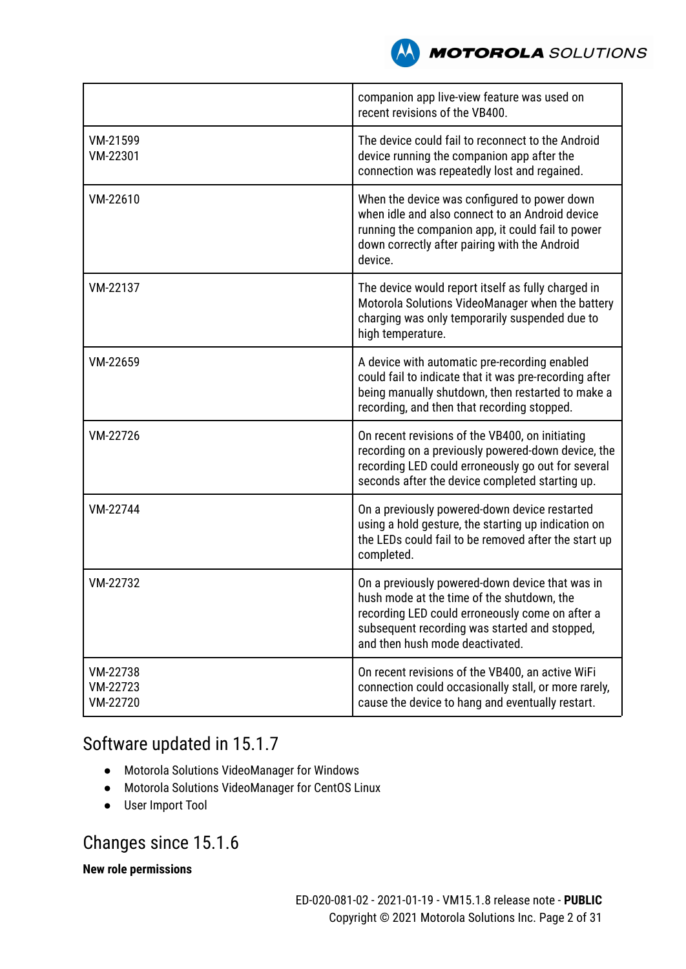

|                                  | companion app live-view feature was used on<br>recent revisions of the VB400.                                                                                                                                                        |  |
|----------------------------------|--------------------------------------------------------------------------------------------------------------------------------------------------------------------------------------------------------------------------------------|--|
| VM-21599<br>VM-22301             | The device could fail to reconnect to the Android<br>device running the companion app after the<br>connection was repeatedly lost and regained.                                                                                      |  |
| VM-22610                         | When the device was configured to power down<br>when idle and also connect to an Android device<br>running the companion app, it could fail to power<br>down correctly after pairing with the Android<br>device.                     |  |
| VM-22137                         | The device would report itself as fully charged in<br>Motorola Solutions VideoManager when the battery<br>charging was only temporarily suspended due to<br>high temperature.                                                        |  |
| VM-22659                         | A device with automatic pre-recording enabled<br>could fail to indicate that it was pre-recording after<br>being manually shutdown, then restarted to make a<br>recording, and then that recording stopped.                          |  |
| VM-22726                         | On recent revisions of the VB400, on initiating<br>recording on a previously powered-down device, the<br>recording LED could erroneously go out for several<br>seconds after the device completed starting up.                       |  |
| VM-22744                         | On a previously powered-down device restarted<br>using a hold gesture, the starting up indication on<br>the LEDs could fail to be removed after the start up<br>completed.                                                           |  |
| VM-22732                         | On a previously powered-down device that was in<br>hush mode at the time of the shutdown, the<br>recording LED could erroneously come on after a<br>subsequent recording was started and stopped,<br>and then hush mode deactivated. |  |
| VM-22738<br>VM-22723<br>VM-22720 | On recent revisions of the VB400, an active WiFi<br>connection could occasionally stall, or more rarely,<br>cause the device to hang and eventually restart.                                                                         |  |

## Software updated in 15.1.7

- Motorola Solutions VideoManager for Windows
- Motorola Solutions VideoManager for CentOS Linux
- User Import Tool

### Changes since 15.1.6

#### **New role permissions**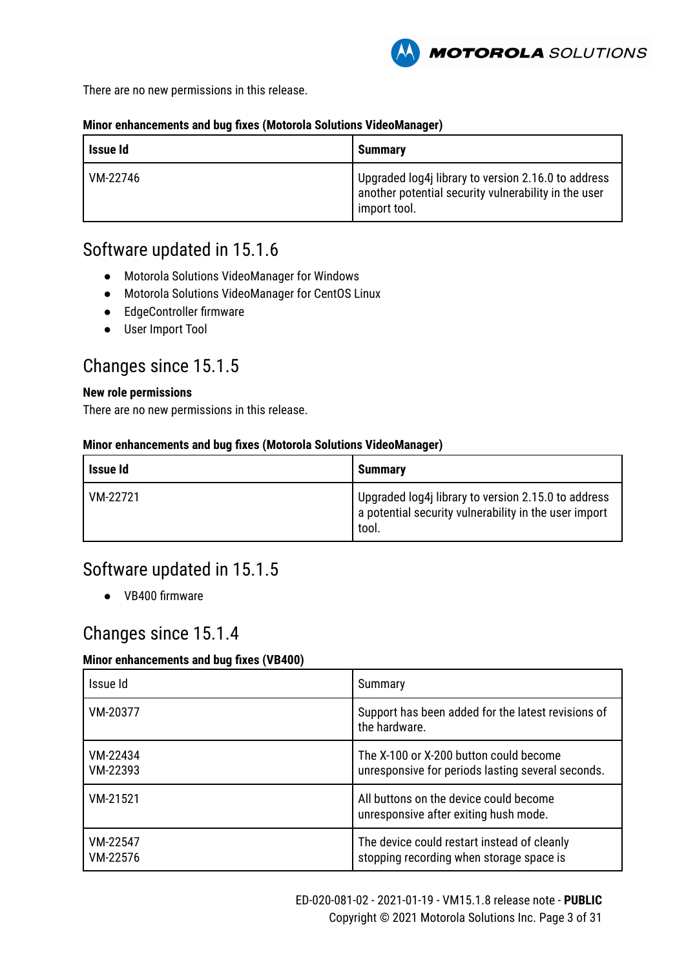

There are no new permissions in this release.

#### **Minor enhancements and bug fixes (Motorola Solutions VideoManager)**

| Issue Id | <b>Summary</b>                                                                                                              |
|----------|-----------------------------------------------------------------------------------------------------------------------------|
| VM-22746 | Upgraded log4j library to version 2.16.0 to address<br>another potential security vulnerability in the user<br>import tool. |

### Software updated in 15.1.6

- Motorola Solutions VideoManager for Windows
- Motorola Solutions VideoManager for CentOS Linux
- EdgeController firmware
- User Import Tool

### Changes since 15.1.5

#### **New role permissions**

There are no new permissions in this release.

#### **Minor enhancements and bug fixes (Motorola Solutions VideoManager)**

| <b>Issue Id</b> | <b>Summarv</b>                                                                                                             |
|-----------------|----------------------------------------------------------------------------------------------------------------------------|
| VM-22721        | Upgraded log4j library to version 2.15.0 to address<br>$\,$ a potential security vulnerability in the user import<br>tool. |

### Software updated in 15.1.5

● VB400 firmware

### Changes since 15.1.4

| Issue Id             | Summary                                                                                     |
|----------------------|---------------------------------------------------------------------------------------------|
| VM-20377             | Support has been added for the latest revisions of<br>the hardware.                         |
| VM-22434<br>VM-22393 | The X-100 or X-200 button could become<br>unresponsive for periods lasting several seconds. |
| VM-21521             | All buttons on the device could become<br>unresponsive after exiting hush mode.             |
| VM-22547<br>VM-22576 | The device could restart instead of cleanly<br>stopping recording when storage space is     |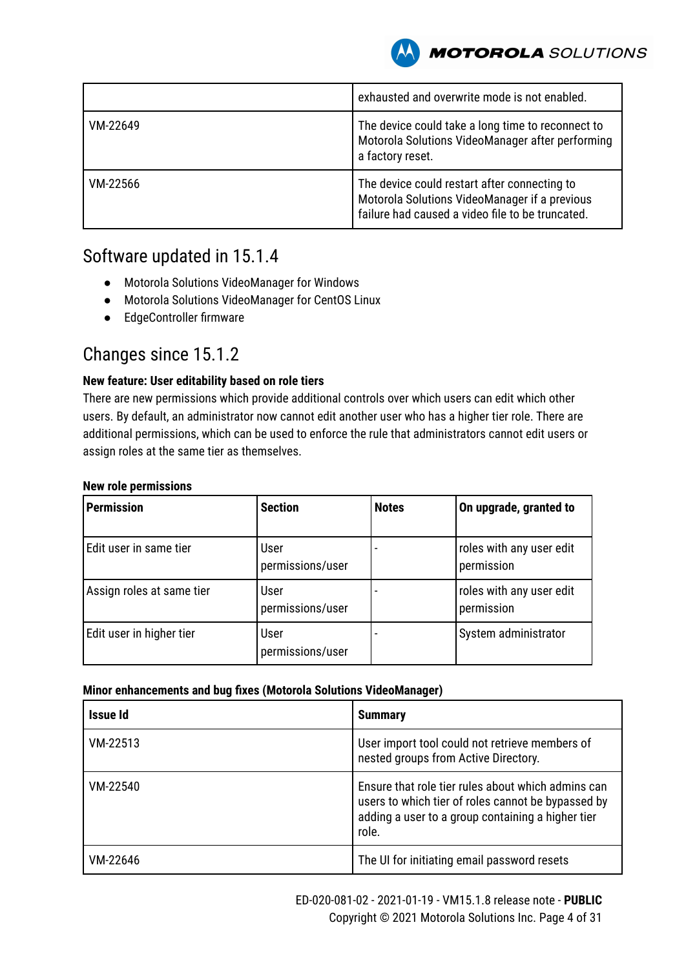

|          | exhausted and overwrite mode is not enabled.                                                                                                      |
|----------|---------------------------------------------------------------------------------------------------------------------------------------------------|
| VM-22649 | The device could take a long time to reconnect to<br>Motorola Solutions VideoManager after performing<br>a factory reset.                         |
| VM-22566 | The device could restart after connecting to<br>Motorola Solutions VideoManager if a previous<br>failure had caused a video file to be truncated. |

### Software updated in 15.1.4

- Motorola Solutions VideoManager for Windows
- Motorola Solutions VideoManager for CentOS Linux
- EdgeController firmware

### Changes since 15.1.2

#### **New feature: User editability based on role tiers**

There are new permissions which provide additional controls over which users can edit which other users. By default, an administrator now cannot edit another user who has a higher tier role. There are additional permissions, which can be used to enforce the rule that administrators cannot edit users or assign roles at the same tier as themselves.

|  |  |  | <b>New role permissions</b> |
|--|--|--|-----------------------------|
|--|--|--|-----------------------------|

| <b>Permission</b>         | <b>Section</b>           | <b>Notes</b> | On upgrade, granted to                 |
|---------------------------|--------------------------|--------------|----------------------------------------|
| Edit user in same tier    | User<br>permissions/user |              | roles with any user edit<br>permission |
| Assign roles at same tier | User<br>permissions/user |              | roles with any user edit<br>permission |
| Edit user in higher tier  | User<br>permissions/user |              | System administrator                   |

#### **Minor enhancements and bug fixes (Motorola Solutions VideoManager)**

| Issue Id | <b>Summary</b>                                                                                                                                                         |
|----------|------------------------------------------------------------------------------------------------------------------------------------------------------------------------|
| VM-22513 | User import tool could not retrieve members of<br>nested groups from Active Directory.                                                                                 |
| VM-22540 | Ensure that role tier rules about which admins can<br>users to which tier of roles cannot be bypassed by<br>adding a user to a group containing a higher tier<br>role. |
| VM-22646 | The UI for initiating email password resets                                                                                                                            |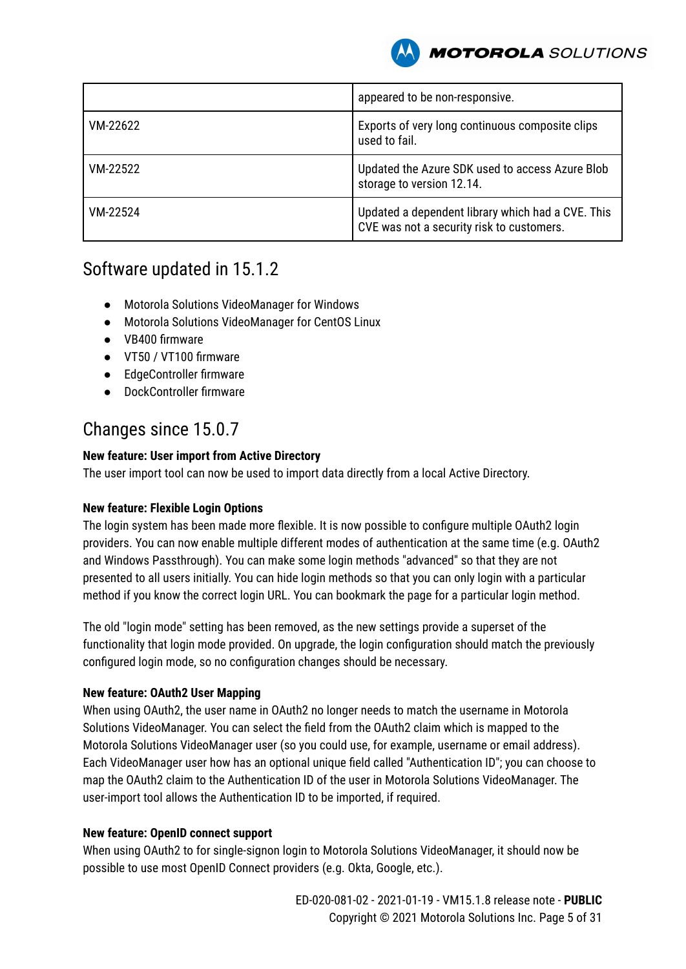

|          | appeared to be non-responsive.                                                                 |
|----------|------------------------------------------------------------------------------------------------|
| VM-22622 | Exports of very long continuous composite clips<br>used to fail.                               |
| VM-22522 | Updated the Azure SDK used to access Azure Blob<br>storage to version 12.14.                   |
| VM-22524 | Updated a dependent library which had a CVE. This<br>CVE was not a security risk to customers. |

### Software updated in 15.1.2

- Motorola Solutions VideoManager for Windows
- Motorola Solutions VideoManager for CentOS Linux
- VB400 firmware
- VT50 / VT100 firmware
- EdgeController firmware
- DockController firmware

### Changes since 15.0.7

#### **New feature: User import from Active Directory**

The user import tool can now be used to import data directly from a local Active Directory.

#### **New feature: Flexible Login Options**

The login system has been made more flexible. It is now possible to configure multiple OAuth2 login providers. You can now enable multiple different modes of authentication at the same time (e.g. OAuth2 and Windows Passthrough). You can make some login methods "advanced" so that they are not presented to all users initially. You can hide login methods so that you can only login with a particular method if you know the correct login URL. You can bookmark the page for a particular login method.

The old "login mode" setting has been removed, as the new settings provide a superset of the functionality that login mode provided. On upgrade, the login configuration should match the previously configured login mode, so no configuration changes should be necessary.

#### **New feature: OAuth2 User Mapping**

When using OAuth2, the user name in OAuth2 no longer needs to match the username in Motorola Solutions VideoManager. You can select the field from the OAuth2 claim which is mapped to the Motorola Solutions VideoManager user (so you could use, for example, username or email address). Each VideoManager user how has an optional unique field called "Authentication ID"; you can choose to map the OAuth2 claim to the Authentication ID of the user in Motorola Solutions VideoManager. The user-import tool allows the Authentication ID to be imported, if required.

#### **New feature: OpenID connect support**

When using OAuth2 to for single-signon login to Motorola Solutions VideoManager, it should now be possible to use most OpenID Connect providers (e.g. Okta, Google, etc.).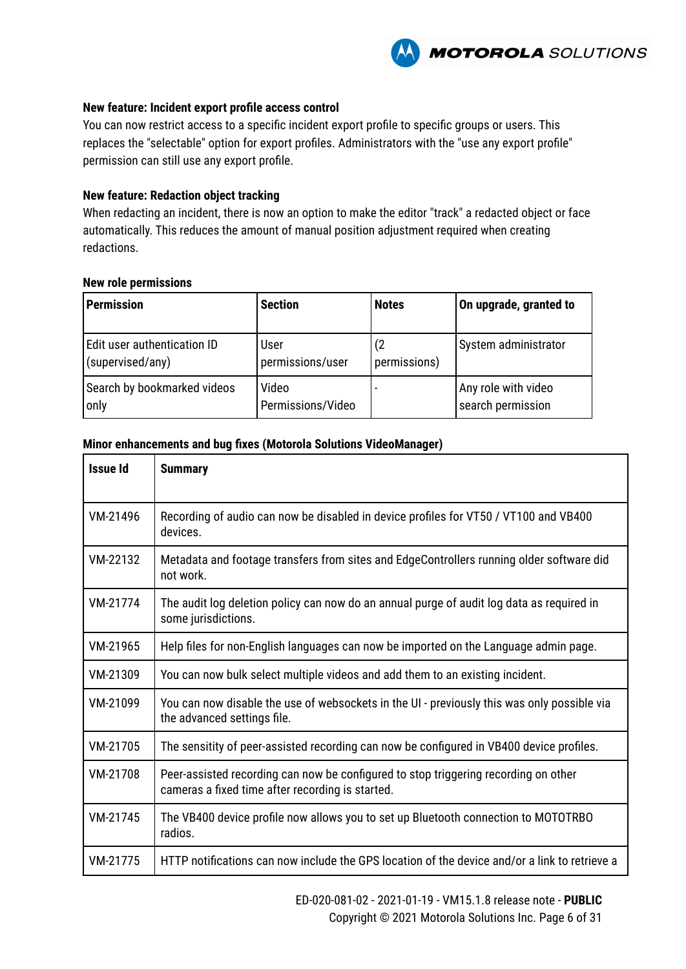

#### **New feature: Incident export profile access control**

You can now restrict access to a specific incident export profile to specific groups or users. This replaces the "selectable" option for export profiles. Administrators with the "use any export profile" permission can still use any export profile.

#### **New feature: Redaction object tracking**

When redacting an incident, there is now an option to make the editor "track" a redacted object or face automatically. This reduces the amount of manual position adjustment required when creating redactions.

#### **New role permissions**

| <b>Permission</b>                               | <b>Section</b>             | <b>Notes</b> | On upgrade, granted to                   |
|-------------------------------------------------|----------------------------|--------------|------------------------------------------|
| Edit user authentication ID<br>(supervised/any) | User<br>permissions/user   | permissions) | System administrator                     |
| Search by bookmarked videos<br>only             | Video<br>Permissions/Video |              | Any role with video<br>search permission |

#### **Minor enhancements and bug fixes (Motorola Solutions VideoManager)**

| <b>Issue Id</b> | <b>Summary</b>                                                                                                                          |
|-----------------|-----------------------------------------------------------------------------------------------------------------------------------------|
| VM-21496        | Recording of audio can now be disabled in device profiles for VT50 / VT100 and VB400<br>devices.                                        |
| VM-22132        | Metadata and footage transfers from sites and EdgeControllers running older software did<br>not work.                                   |
| VM-21774        | The audit log deletion policy can now do an annual purge of audit log data as required in<br>some jurisdictions.                        |
| VM-21965        | Help files for non-English languages can now be imported on the Language admin page.                                                    |
| VM-21309        | You can now bulk select multiple videos and add them to an existing incident.                                                           |
| VM-21099        | You can now disable the use of websockets in the UI - previously this was only possible via<br>the advanced settings file.              |
| VM-21705        | The sensitity of peer-assisted recording can now be configured in VB400 device profiles.                                                |
| VM-21708        | Peer-assisted recording can now be configured to stop triggering recording on other<br>cameras a fixed time after recording is started. |
| VM-21745        | The VB400 device profile now allows you to set up Bluetooth connection to MOTOTRBO<br>radios.                                           |
| VM-21775        | HTTP notifications can now include the GPS location of the device and/or a link to retrieve a                                           |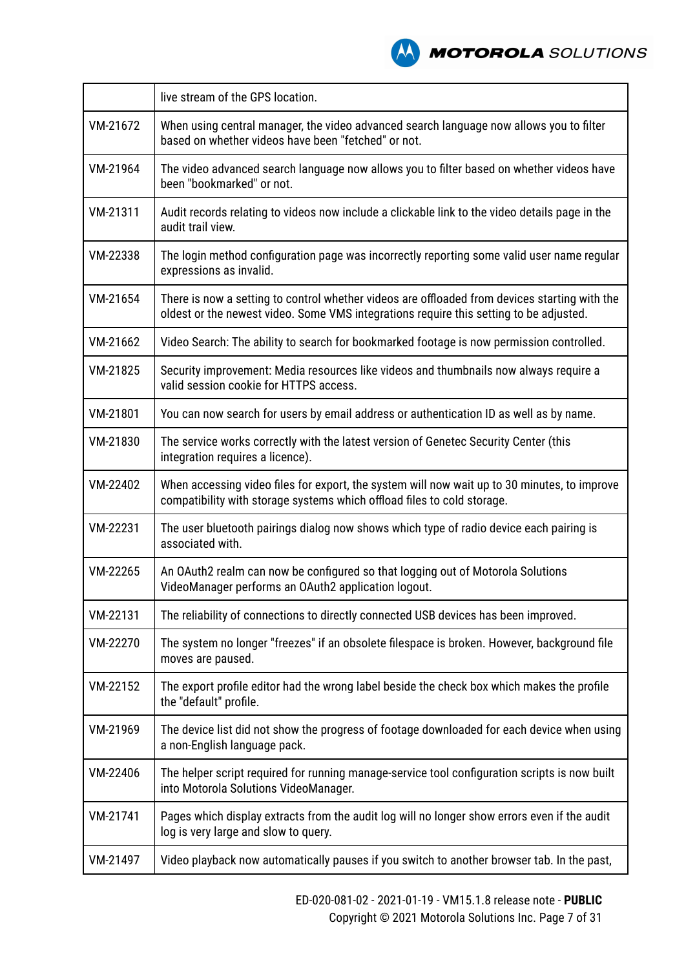

|          | live stream of the GPS location.                                                                                                                                                        |  |
|----------|-----------------------------------------------------------------------------------------------------------------------------------------------------------------------------------------|--|
| VM-21672 | When using central manager, the video advanced search language now allows you to filter<br>based on whether videos have been "fetched" or not.                                          |  |
| VM-21964 | The video advanced search language now allows you to filter based on whether videos have<br>been "bookmarked" or not.                                                                   |  |
| VM-21311 | Audit records relating to videos now include a clickable link to the video details page in the<br>audit trail view.                                                                     |  |
| VM-22338 | The login method configuration page was incorrectly reporting some valid user name regular<br>expressions as invalid.                                                                   |  |
| VM-21654 | There is now a setting to control whether videos are offloaded from devices starting with the<br>oldest or the newest video. Some VMS integrations require this setting to be adjusted. |  |
| VM-21662 | Video Search: The ability to search for bookmarked footage is now permission controlled.                                                                                                |  |
| VM-21825 | Security improvement: Media resources like videos and thumbnails now always require a<br>valid session cookie for HTTPS access.                                                         |  |
| VM-21801 | You can now search for users by email address or authentication ID as well as by name.                                                                                                  |  |
| VM-21830 | The service works correctly with the latest version of Genetec Security Center (this<br>integration requires a licence).                                                                |  |
| VM-22402 | When accessing video files for export, the system will now wait up to 30 minutes, to improve<br>compatibility with storage systems which offload files to cold storage.                 |  |
| VM-22231 | The user bluetooth pairings dialog now shows which type of radio device each pairing is<br>associated with.                                                                             |  |
| VM-22265 | An OAuth2 realm can now be configured so that logging out of Motorola Solutions<br>VideoManager performs an OAuth2 application logout.                                                  |  |
| VM-22131 | The reliability of connections to directly connected USB devices has been improved.                                                                                                     |  |
| VM-22270 | The system no longer "freezes" if an obsolete filespace is broken. However, background file<br>moves are paused.                                                                        |  |
| VM-22152 | The export profile editor had the wrong label beside the check box which makes the profile<br>the "default" profile.                                                                    |  |
| VM-21969 | The device list did not show the progress of footage downloaded for each device when using<br>a non-English language pack.                                                              |  |
| VM-22406 | The helper script required for running manage-service tool configuration scripts is now built<br>into Motorola Solutions VideoManager.                                                  |  |
| VM-21741 | Pages which display extracts from the audit log will no longer show errors even if the audit<br>log is very large and slow to query.                                                    |  |
| VM-21497 | Video playback now automatically pauses if you switch to another browser tab. In the past,                                                                                              |  |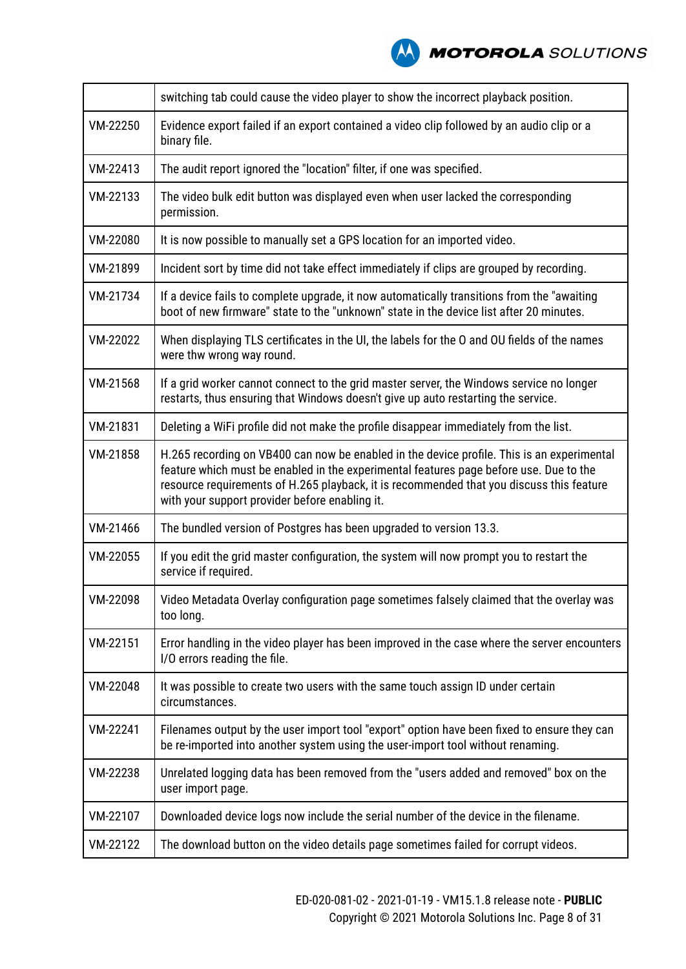

|          | switching tab could cause the video player to show the incorrect playback position.                                                                                                                                                                                                                                                |  |
|----------|------------------------------------------------------------------------------------------------------------------------------------------------------------------------------------------------------------------------------------------------------------------------------------------------------------------------------------|--|
| VM-22250 | Evidence export failed if an export contained a video clip followed by an audio clip or a<br>binary file.                                                                                                                                                                                                                          |  |
| VM-22413 | The audit report ignored the "location" filter, if one was specified.                                                                                                                                                                                                                                                              |  |
| VM-22133 | The video bulk edit button was displayed even when user lacked the corresponding<br>permission.                                                                                                                                                                                                                                    |  |
| VM-22080 | It is now possible to manually set a GPS location for an imported video.                                                                                                                                                                                                                                                           |  |
| VM-21899 | Incident sort by time did not take effect immediately if clips are grouped by recording.                                                                                                                                                                                                                                           |  |
| VM-21734 | If a device fails to complete upgrade, it now automatically transitions from the "awaiting<br>boot of new firmware" state to the "unknown" state in the device list after 20 minutes.                                                                                                                                              |  |
| VM-22022 | When displaying TLS certificates in the UI, the labels for the O and OU fields of the names<br>were thw wrong way round.                                                                                                                                                                                                           |  |
| VM-21568 | If a grid worker cannot connect to the grid master server, the Windows service no longer<br>restarts, thus ensuring that Windows doesn't give up auto restarting the service.                                                                                                                                                      |  |
| VM-21831 | Deleting a WiFi profile did not make the profile disappear immediately from the list.                                                                                                                                                                                                                                              |  |
| VM-21858 | H.265 recording on VB400 can now be enabled in the device profile. This is an experimental<br>feature which must be enabled in the experimental features page before use. Due to the<br>resource requirements of H.265 playback, it is recommended that you discuss this feature<br>with your support provider before enabling it. |  |
| VM-21466 | The bundled version of Postgres has been upgraded to version 13.3.                                                                                                                                                                                                                                                                 |  |
| VM-22055 | If you edit the grid master configuration, the system will now prompt you to restart the<br>service if required.                                                                                                                                                                                                                   |  |
| VM-22098 | Video Metadata Overlay configuration page sometimes falsely claimed that the overlay was<br>too long.                                                                                                                                                                                                                              |  |
| VM-22151 | Error handling in the video player has been improved in the case where the server encounters<br>I/O errors reading the file.                                                                                                                                                                                                       |  |
| VM-22048 | It was possible to create two users with the same touch assign ID under certain<br>circumstances.                                                                                                                                                                                                                                  |  |
| VM-22241 | Filenames output by the user import tool "export" option have been fixed to ensure they can<br>be re-imported into another system using the user-import tool without renaming.                                                                                                                                                     |  |
| VM-22238 | Unrelated logging data has been removed from the "users added and removed" box on the<br>user import page.                                                                                                                                                                                                                         |  |
| VM-22107 | Downloaded device logs now include the serial number of the device in the filename.                                                                                                                                                                                                                                                |  |
| VM-22122 | The download button on the video details page sometimes failed for corrupt videos.                                                                                                                                                                                                                                                 |  |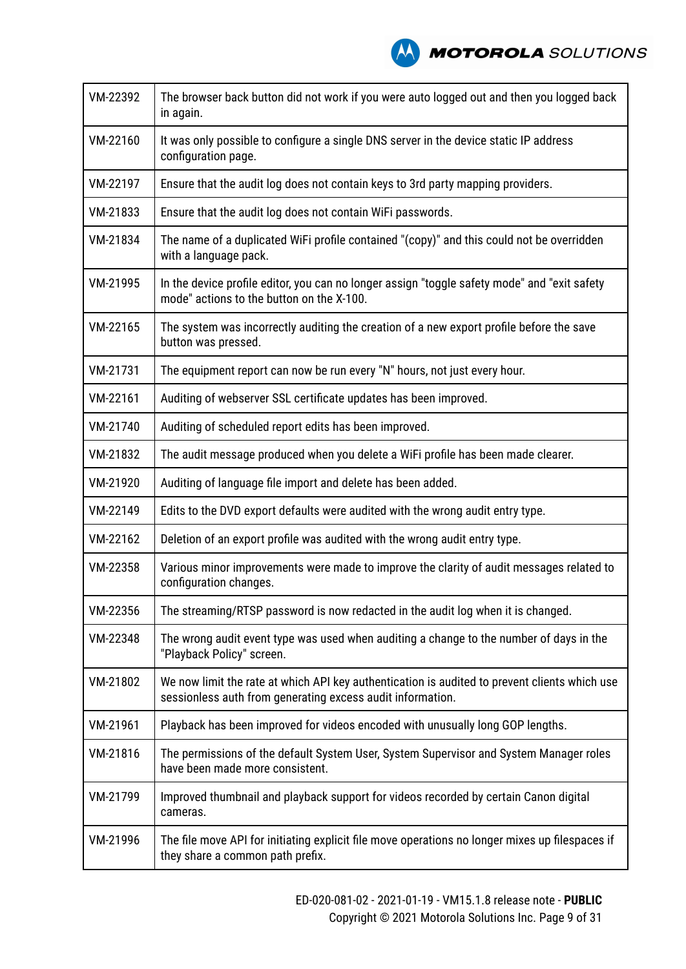| VM-22392 | The browser back button did not work if you were auto logged out and then you logged back<br>in again.                                                      |
|----------|-------------------------------------------------------------------------------------------------------------------------------------------------------------|
| VM-22160 | It was only possible to configure a single DNS server in the device static IP address<br>configuration page.                                                |
| VM-22197 | Ensure that the audit log does not contain keys to 3rd party mapping providers.                                                                             |
| VM-21833 | Ensure that the audit log does not contain WiFi passwords.                                                                                                  |
| VM-21834 | The name of a duplicated WiFi profile contained "(copy)" and this could not be overridden<br>with a language pack.                                          |
| VM-21995 | In the device profile editor, you can no longer assign "toggle safety mode" and "exit safety<br>mode" actions to the button on the X-100.                   |
| VM-22165 | The system was incorrectly auditing the creation of a new export profile before the save<br>button was pressed.                                             |
| VM-21731 | The equipment report can now be run every "N" hours, not just every hour.                                                                                   |
| VM-22161 | Auditing of webserver SSL certificate updates has been improved.                                                                                            |
| VM-21740 | Auditing of scheduled report edits has been improved.                                                                                                       |
| VM-21832 | The audit message produced when you delete a WiFi profile has been made clearer.                                                                            |
| VM-21920 | Auditing of language file import and delete has been added.                                                                                                 |
| VM-22149 | Edits to the DVD export defaults were audited with the wrong audit entry type.                                                                              |
| VM-22162 | Deletion of an export profile was audited with the wrong audit entry type.                                                                                  |
| VM-22358 | Various minor improvements were made to improve the clarity of audit messages related to<br>configuration changes.                                          |
| VM-22356 | The streaming/RTSP password is now redacted in the audit log when it is changed.                                                                            |
| VM-22348 | The wrong audit event type was used when auditing a change to the number of days in the<br>"Playback Policy" screen.                                        |
| VM-21802 | We now limit the rate at which API key authentication is audited to prevent clients which use<br>sessionless auth from generating excess audit information. |
| VM-21961 | Playback has been improved for videos encoded with unusually long GOP lengths.                                                                              |
| VM-21816 | The permissions of the default System User, System Supervisor and System Manager roles<br>have been made more consistent.                                   |
| VM-21799 | Improved thumbnail and playback support for videos recorded by certain Canon digital<br>cameras.                                                            |
| VM-21996 | The file move API for initiating explicit file move operations no longer mixes up filespaces if<br>they share a common path prefix.                         |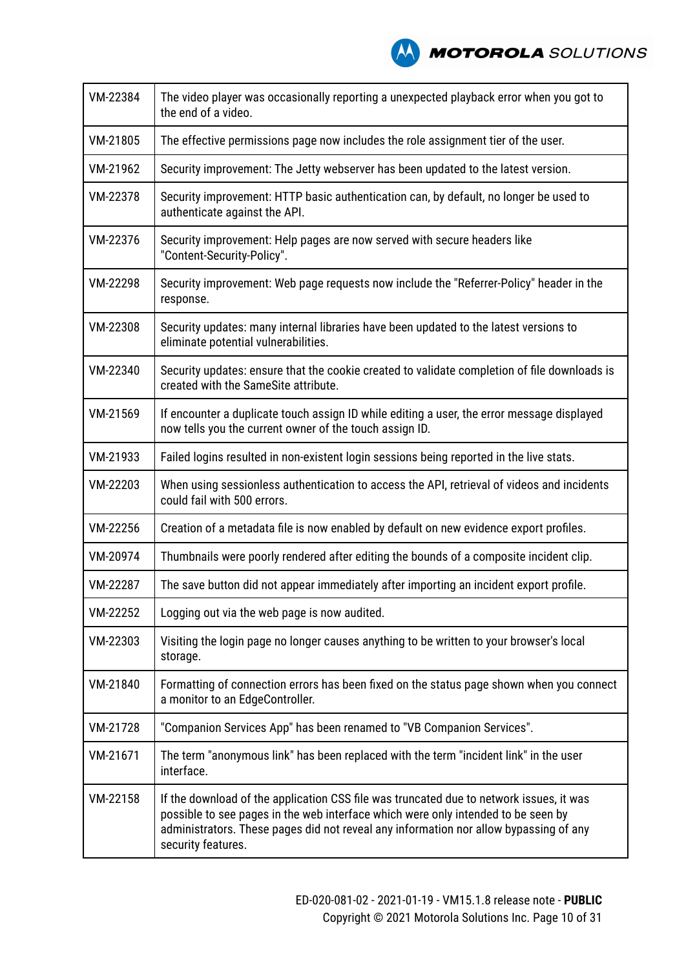

| VM-22384 | The video player was occasionally reporting a unexpected playback error when you got to<br>the end of a video.                                                                                                                                                                              |  |
|----------|---------------------------------------------------------------------------------------------------------------------------------------------------------------------------------------------------------------------------------------------------------------------------------------------|--|
| VM-21805 | The effective permissions page now includes the role assignment tier of the user.                                                                                                                                                                                                           |  |
| VM-21962 | Security improvement: The Jetty webserver has been updated to the latest version.                                                                                                                                                                                                           |  |
| VM-22378 | Security improvement: HTTP basic authentication can, by default, no longer be used to<br>authenticate against the API.                                                                                                                                                                      |  |
| VM-22376 | Security improvement: Help pages are now served with secure headers like<br>"Content-Security-Policy".                                                                                                                                                                                      |  |
| VM-22298 | Security improvement: Web page requests now include the "Referrer-Policy" header in the<br>response.                                                                                                                                                                                        |  |
| VM-22308 | Security updates: many internal libraries have been updated to the latest versions to<br>eliminate potential vulnerabilities.                                                                                                                                                               |  |
| VM-22340 | Security updates: ensure that the cookie created to validate completion of file downloads is<br>created with the SameSite attribute.                                                                                                                                                        |  |
| VM-21569 | If encounter a duplicate touch assign ID while editing a user, the error message displayed<br>now tells you the current owner of the touch assign ID.                                                                                                                                       |  |
| VM-21933 | Failed logins resulted in non-existent login sessions being reported in the live stats.                                                                                                                                                                                                     |  |
| VM-22203 | When using sessionless authentication to access the API, retrieval of videos and incidents<br>could fail with 500 errors.                                                                                                                                                                   |  |
| VM-22256 | Creation of a metadata file is now enabled by default on new evidence export profiles.                                                                                                                                                                                                      |  |
| VM-20974 | Thumbnails were poorly rendered after editing the bounds of a composite incident clip.                                                                                                                                                                                                      |  |
| VM-22287 | The save button did not appear immediately after importing an incident export profile.                                                                                                                                                                                                      |  |
| VM-22252 | Logging out via the web page is now audited.                                                                                                                                                                                                                                                |  |
| VM-22303 | Visiting the login page no longer causes anything to be written to your browser's local<br>storage.                                                                                                                                                                                         |  |
| VM-21840 | Formatting of connection errors has been fixed on the status page shown when you connect<br>a monitor to an EdgeController.                                                                                                                                                                 |  |
| VM-21728 | "Companion Services App" has been renamed to "VB Companion Services".                                                                                                                                                                                                                       |  |
| VM-21671 | The term "anonymous link" has been replaced with the term "incident link" in the user<br>interface.                                                                                                                                                                                         |  |
| VM-22158 | If the download of the application CSS file was truncated due to network issues, it was<br>possible to see pages in the web interface which were only intended to be seen by<br>administrators. These pages did not reveal any information nor allow bypassing of any<br>security features. |  |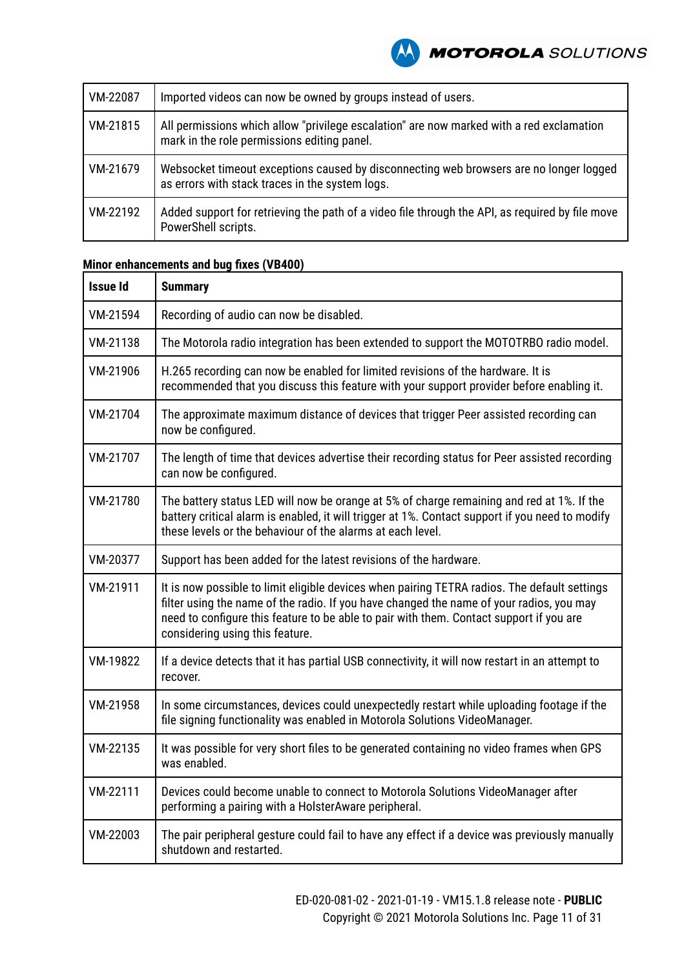

| VM-22087 | Imported videos can now be owned by groups instead of users.                                                                              |
|----------|-------------------------------------------------------------------------------------------------------------------------------------------|
| VM-21815 | All permissions which allow "privilege escalation" are now marked with a red exclamation<br>mark in the role permissions editing panel.   |
| VM-21679 | Websocket timeout exceptions caused by disconnecting web browsers are no longer logged<br>as errors with stack traces in the system logs. |
| VM-22192 | Added support for retrieving the path of a video file through the API, as required by file move<br>PowerShell scripts.                    |

| <b>Issue Id</b> | <b>Summary</b>                                                                                                                                                                                                                                                                                                         |  |
|-----------------|------------------------------------------------------------------------------------------------------------------------------------------------------------------------------------------------------------------------------------------------------------------------------------------------------------------------|--|
| VM-21594        | Recording of audio can now be disabled.                                                                                                                                                                                                                                                                                |  |
| VM-21138        | The Motorola radio integration has been extended to support the MOTOTRBO radio model.                                                                                                                                                                                                                                  |  |
| VM-21906        | H.265 recording can now be enabled for limited revisions of the hardware. It is<br>recommended that you discuss this feature with your support provider before enabling it.                                                                                                                                            |  |
| VM-21704        | The approximate maximum distance of devices that trigger Peer assisted recording can<br>now be configured.                                                                                                                                                                                                             |  |
| VM-21707        | The length of time that devices advertise their recording status for Peer assisted recording<br>can now be configured.                                                                                                                                                                                                 |  |
| VM-21780        | The battery status LED will now be orange at 5% of charge remaining and red at 1%. If the<br>battery critical alarm is enabled, it will trigger at 1%. Contact support if you need to modify<br>these levels or the behaviour of the alarms at each level.                                                             |  |
| VM-20377        | Support has been added for the latest revisions of the hardware.                                                                                                                                                                                                                                                       |  |
| VM-21911        | It is now possible to limit eligible devices when pairing TETRA radios. The default settings<br>filter using the name of the radio. If you have changed the name of your radios, you may<br>need to configure this feature to be able to pair with them. Contact support if you are<br>considering using this feature. |  |
| VM-19822        | If a device detects that it has partial USB connectivity, it will now restart in an attempt to<br>recover.                                                                                                                                                                                                             |  |
| VM-21958        | In some circumstances, devices could unexpectedly restart while uploading footage if the<br>file signing functionality was enabled in Motorola Solutions VideoManager.                                                                                                                                                 |  |
| VM-22135        | It was possible for very short files to be generated containing no video frames when GPS<br>was enabled.                                                                                                                                                                                                               |  |
| VM-22111        | Devices could become unable to connect to Motorola Solutions VideoManager after<br>performing a pairing with a HolsterAware peripheral.                                                                                                                                                                                |  |
| VM-22003        | The pair peripheral gesture could fail to have any effect if a device was previously manually<br>shutdown and restarted.                                                                                                                                                                                               |  |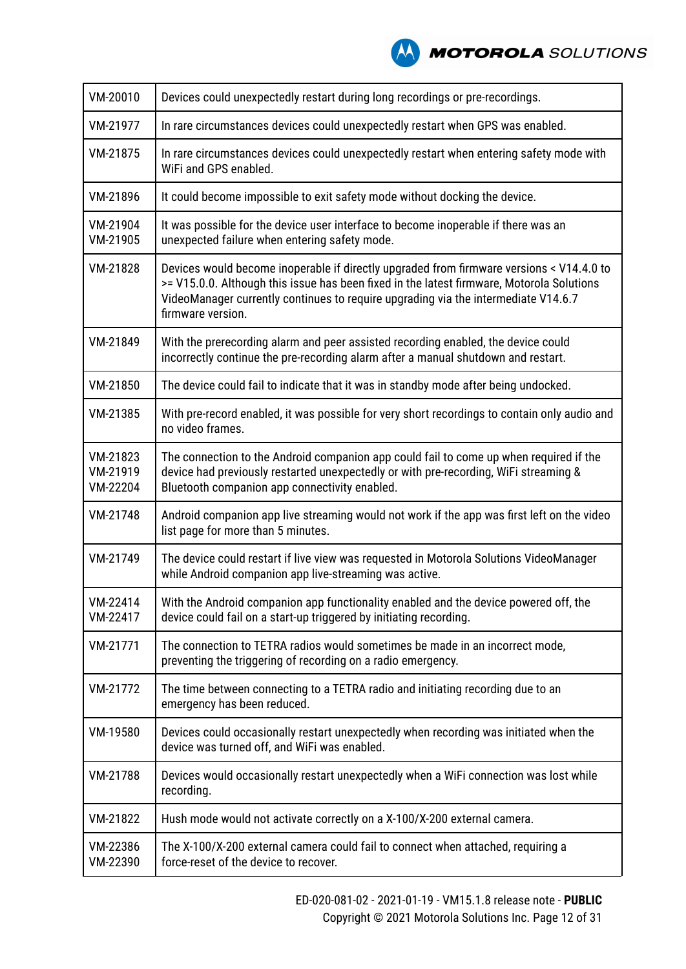| VM-20010                         | Devices could unexpectedly restart during long recordings or pre-recordings.                                                                                                                                                                                                                     |  |
|----------------------------------|--------------------------------------------------------------------------------------------------------------------------------------------------------------------------------------------------------------------------------------------------------------------------------------------------|--|
| VM-21977                         | In rare circumstances devices could unexpectedly restart when GPS was enabled.                                                                                                                                                                                                                   |  |
| VM-21875                         | In rare circumstances devices could unexpectedly restart when entering safety mode with<br>WiFi and GPS enabled.                                                                                                                                                                                 |  |
| VM-21896                         | It could become impossible to exit safety mode without docking the device.                                                                                                                                                                                                                       |  |
| VM-21904<br>VM-21905             | It was possible for the device user interface to become inoperable if there was an<br>unexpected failure when entering safety mode.                                                                                                                                                              |  |
| VM-21828                         | Devices would become inoperable if directly upgraded from firmware versions < V14.4.0 to<br>>= V15.0.0. Although this issue has been fixed in the latest firmware, Motorola Solutions<br>VideoManager currently continues to require upgrading via the intermediate V14.6.7<br>firmware version. |  |
| VM-21849                         | With the prerecording alarm and peer assisted recording enabled, the device could<br>incorrectly continue the pre-recording alarm after a manual shutdown and restart.                                                                                                                           |  |
| VM-21850                         | The device could fail to indicate that it was in standby mode after being undocked.                                                                                                                                                                                                              |  |
| VM-21385                         | With pre-record enabled, it was possible for very short recordings to contain only audio and<br>no video frames.                                                                                                                                                                                 |  |
| VM-21823<br>VM-21919<br>VM-22204 | The connection to the Android companion app could fail to come up when required if the<br>device had previously restarted unexpectedly or with pre-recording, WiFi streaming &<br>Bluetooth companion app connectivity enabled.                                                                  |  |
| VM-21748                         | Android companion app live streaming would not work if the app was first left on the video<br>list page for more than 5 minutes.                                                                                                                                                                 |  |
| VM-21749                         | The device could restart if live view was requested in Motorola Solutions VideoManager<br>while Android companion app live-streaming was active.                                                                                                                                                 |  |
| VM-22414<br>VM-22417             | With the Android companion app functionality enabled and the device powered off, the<br>device could fail on a start-up triggered by initiating recording.                                                                                                                                       |  |
| VM-21771                         | The connection to TETRA radios would sometimes be made in an incorrect mode,<br>preventing the triggering of recording on a radio emergency.                                                                                                                                                     |  |
| VM-21772                         | The time between connecting to a TETRA radio and initiating recording due to an<br>emergency has been reduced.                                                                                                                                                                                   |  |
| VM-19580                         | Devices could occasionally restart unexpectedly when recording was initiated when the<br>device was turned off, and WiFi was enabled.                                                                                                                                                            |  |
| VM-21788                         | Devices would occasionally restart unexpectedly when a WiFi connection was lost while<br>recording.                                                                                                                                                                                              |  |
| VM-21822                         | Hush mode would not activate correctly on a X-100/X-200 external camera.                                                                                                                                                                                                                         |  |
| VM-22386<br>VM-22390             | The X-100/X-200 external camera could fail to connect when attached, requiring a<br>force-reset of the device to recover.                                                                                                                                                                        |  |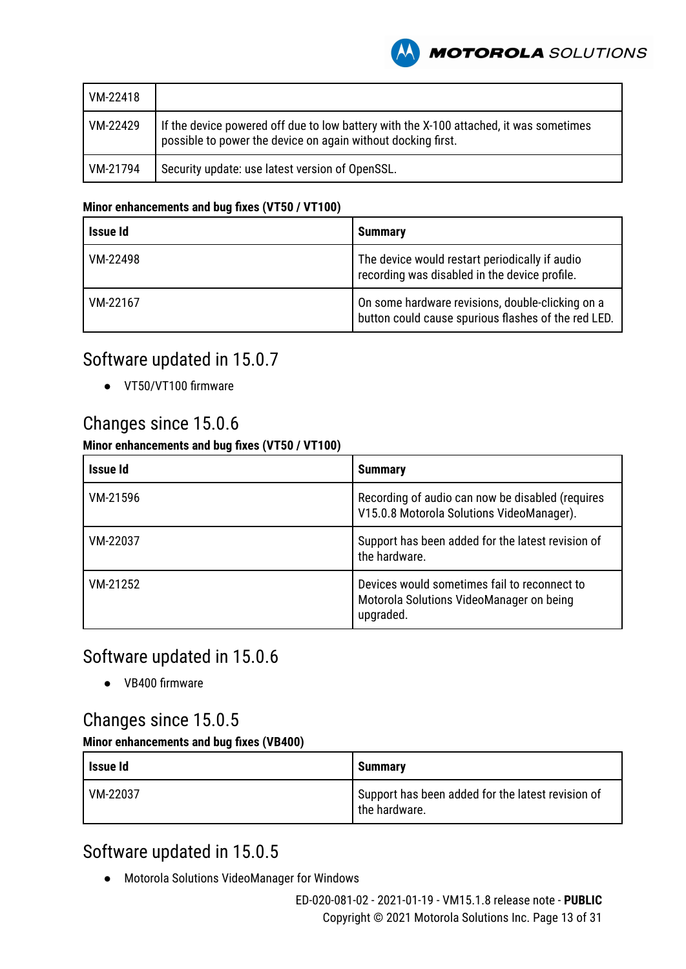**MOTOROLA** SOLUTIONS

| VM-22418 |                                                                                                                                                        |
|----------|--------------------------------------------------------------------------------------------------------------------------------------------------------|
| VM-22429 | If the device powered off due to low battery with the X-100 attached, it was sometimes<br>possible to power the device on again without docking first. |
| VM-21794 | Security update: use latest version of OpenSSL.                                                                                                        |

#### **Minor enhancements and bug fixes (VT50 / VT100)**

| <b>Issue Id</b> | <b>Summary</b>                                                                                          |
|-----------------|---------------------------------------------------------------------------------------------------------|
| VM-22498        | The device would restart periodically if audio<br>recording was disabled in the device profile.         |
| VM-22167        | On some hardware revisions, double-clicking on a<br>button could cause spurious flashes of the red LED. |

### Software updated in 15.0.7

● VT50/VT100 firmware

### Changes since 15.0.6

#### **Minor enhancements and bug fixes (VT50 / VT100)**

| Issue Id | <b>Summary</b>                                                                                        |
|----------|-------------------------------------------------------------------------------------------------------|
| VM-21596 | Recording of audio can now be disabled (requires<br>V15.0.8 Motorola Solutions VideoManager).         |
| VM-22037 | Support has been added for the latest revision of<br>the hardware.                                    |
| VM-21252 | Devices would sometimes fail to reconnect to<br>Motorola Solutions VideoManager on being<br>upgraded. |

### Software updated in 15.0.6

● VB400 firmware

### Changes since 15.0.5

#### **Minor enhancements and bug fixes (VB400)**

| l Issue Id | <b>Summary</b>                                                     |
|------------|--------------------------------------------------------------------|
| VM-22037   | Support has been added for the latest revision of<br>the hardware. |

### Software updated in 15.0.5

● Motorola Solutions VideoManager for Windows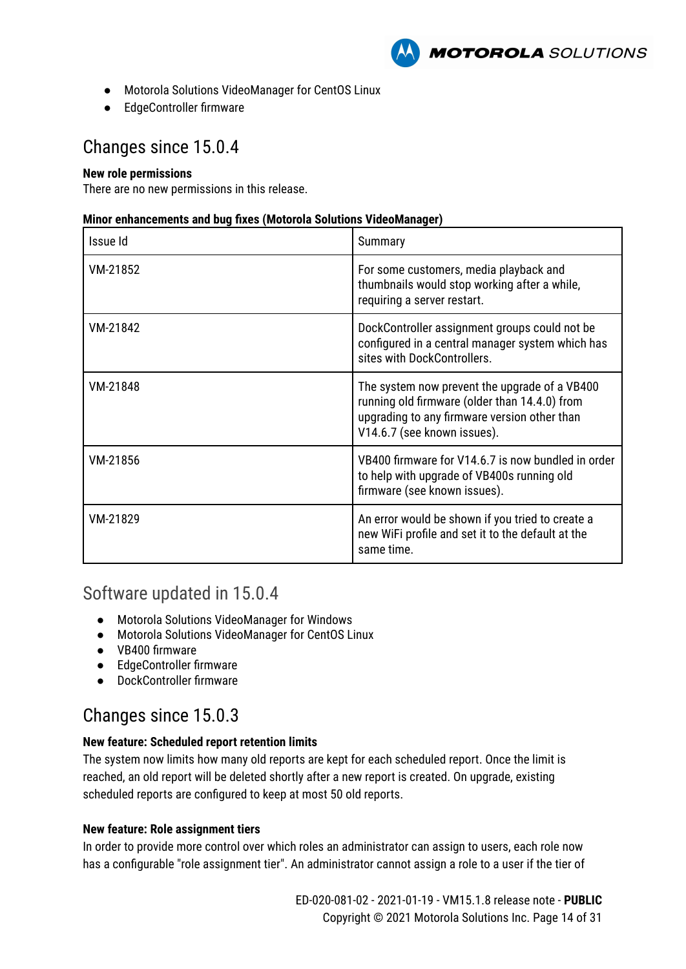

- Motorola Solutions VideoManager for CentOS Linux
- EdgeController firmware

### Changes since 15.0.4

#### **New role permissions**

There are no new permissions in this release.

#### **Minor enhancements and bug fixes (Motorola Solutions VideoManager)**

| Issue Id | Summary                                                                                                                                                                       |
|----------|-------------------------------------------------------------------------------------------------------------------------------------------------------------------------------|
| VM-21852 | For some customers, media playback and<br>thumbnails would stop working after a while,<br>requiring a server restart.                                                         |
| VM-21842 | DockController assignment groups could not be<br>configured in a central manager system which has<br>sites with DockControllers.                                              |
| VM-21848 | The system now prevent the upgrade of a VB400<br>running old firmware (older than 14.4.0) from<br>upgrading to any firmware version other than<br>V14.6.7 (see known issues). |
| VM-21856 | VB400 firmware for V14.6.7 is now bundled in order<br>to help with upgrade of VB400s running old<br>firmware (see known issues).                                              |
| VM-21829 | An error would be shown if you tried to create a<br>new WiFi profile and set it to the default at the<br>same time.                                                           |

### Software updated in 15.0.4

- Motorola Solutions VideoManager for Windows
- Motorola Solutions VideoManager for CentOS Linux
- VB400 firmware
- EdgeController firmware
- DockController firmware

### Changes since 15.0.3

#### **New feature: Scheduled report retention limits**

The system now limits how many old reports are kept for each scheduled report. Once the limit is reached, an old report will be deleted shortly after a new report is created. On upgrade, existing scheduled reports are configured to keep at most 50 old reports.

#### **New feature: Role assignment tiers**

In order to provide more control over which roles an administrator can assign to users, each role now has a configurable "role assignment tier". An administrator cannot assign a role to a user if the tier of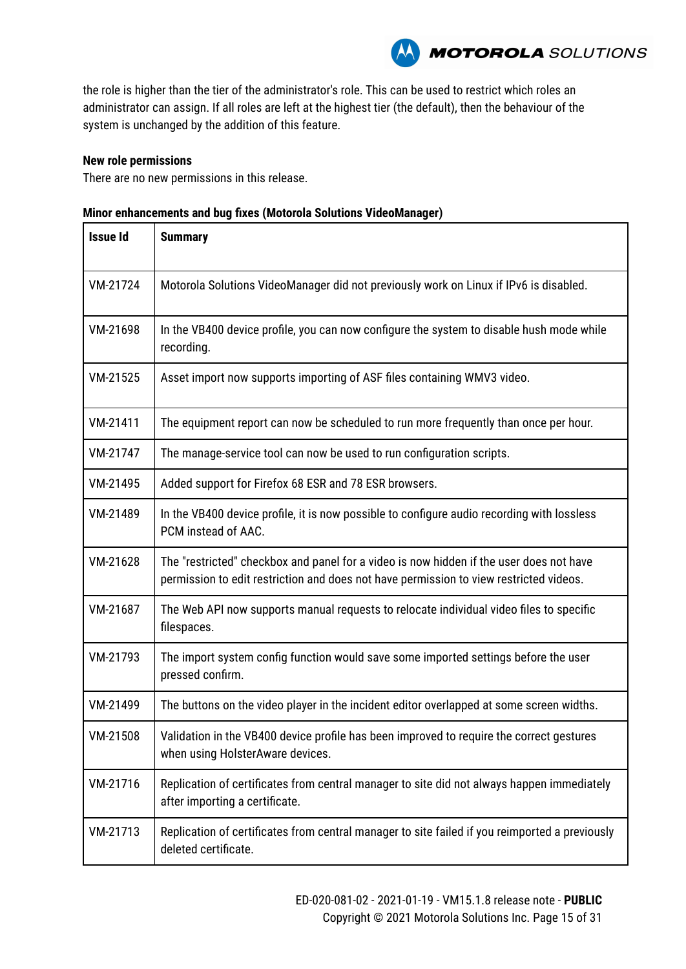

the role is higher than the tier of the administrator's role. This can be used to restrict which roles an administrator can assign. If all roles are left at the highest tier (the default), then the behaviour of the system is unchanged by the addition of this feature.

#### **New role permissions**

There are no new permissions in this release.

|  | Minor enhancements and bug fixes (Motorola Solutions VideoManager) |
|--|--------------------------------------------------------------------|
|--|--------------------------------------------------------------------|

| <b>Issue Id</b> | <b>Summary</b>                                                                                                                                                                    |
|-----------------|-----------------------------------------------------------------------------------------------------------------------------------------------------------------------------------|
| VM-21724        | Motorola Solutions VideoManager did not previously work on Linux if IPv6 is disabled.                                                                                             |
| VM-21698        | In the VB400 device profile, you can now configure the system to disable hush mode while<br>recording.                                                                            |
| VM-21525        | Asset import now supports importing of ASF files containing WMV3 video.                                                                                                           |
| VM-21411        | The equipment report can now be scheduled to run more frequently than once per hour.                                                                                              |
| VM-21747        | The manage-service tool can now be used to run configuration scripts.                                                                                                             |
| VM-21495        | Added support for Firefox 68 ESR and 78 ESR browsers.                                                                                                                             |
| VM-21489        | In the VB400 device profile, it is now possible to configure audio recording with lossless<br>PCM instead of AAC.                                                                 |
| VM-21628        | The "restricted" checkbox and panel for a video is now hidden if the user does not have<br>permission to edit restriction and does not have permission to view restricted videos. |
| VM-21687        | The Web API now supports manual requests to relocate individual video files to specific<br>filespaces.                                                                            |
| VM-21793        | The import system config function would save some imported settings before the user<br>pressed confirm.                                                                           |
| VM-21499        | The buttons on the video player in the incident editor overlapped at some screen widths.                                                                                          |
| VM-21508        | Validation in the VB400 device profile has been improved to require the correct gestures<br>when using HolsterAware devices.                                                      |
| VM-21716        | Replication of certificates from central manager to site did not always happen immediately<br>after importing a certificate.                                                      |
| VM-21713        | Replication of certificates from central manager to site failed if you reimported a previously<br>deleted certificate.                                                            |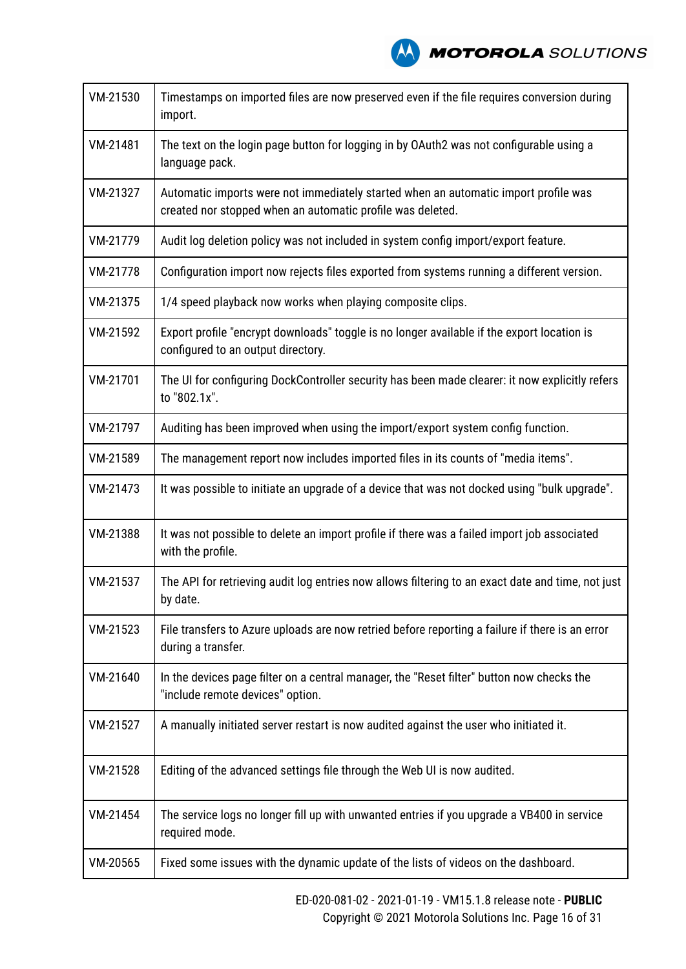**A MOTOROLA** SOLUTIONS

| VM-21530 | Timestamps on imported files are now preserved even if the file requires conversion during<br>import.                                             |
|----------|---------------------------------------------------------------------------------------------------------------------------------------------------|
| VM-21481 | The text on the login page button for logging in by OAuth2 was not configurable using a<br>language pack.                                         |
| VM-21327 | Automatic imports were not immediately started when an automatic import profile was<br>created nor stopped when an automatic profile was deleted. |
| VM-21779 | Audit log deletion policy was not included in system config import/export feature.                                                                |
| VM-21778 | Configuration import now rejects files exported from systems running a different version.                                                         |
| VM-21375 | 1/4 speed playback now works when playing composite clips.                                                                                        |
| VM-21592 | Export profile "encrypt downloads" toggle is no longer available if the export location is<br>configured to an output directory.                  |
| VM-21701 | The UI for configuring DockController security has been made clearer: it now explicitly refers<br>to "802.1x".                                    |
| VM-21797 | Auditing has been improved when using the import/export system config function.                                                                   |
| VM-21589 | The management report now includes imported files in its counts of "media items".                                                                 |
| VM-21473 | It was possible to initiate an upgrade of a device that was not docked using "bulk upgrade".                                                      |
| VM-21388 | It was not possible to delete an import profile if there was a failed import job associated<br>with the profile.                                  |
| VM-21537 | The API for retrieving audit log entries now allows filtering to an exact date and time, not just<br>by date.                                     |
| VM-21523 | File transfers to Azure uploads are now retried before reporting a failure if there is an error<br>during a transfer.                             |
| VM-21640 | In the devices page filter on a central manager, the "Reset filter" button now checks the<br>"include remote devices" option.                     |
| VM-21527 | A manually initiated server restart is now audited against the user who initiated it.                                                             |
| VM-21528 | Editing of the advanced settings file through the Web UI is now audited.                                                                          |
| VM-21454 | The service logs no longer fill up with unwanted entries if you upgrade a VB400 in service<br>required mode.                                      |
| VM-20565 | Fixed some issues with the dynamic update of the lists of videos on the dashboard.                                                                |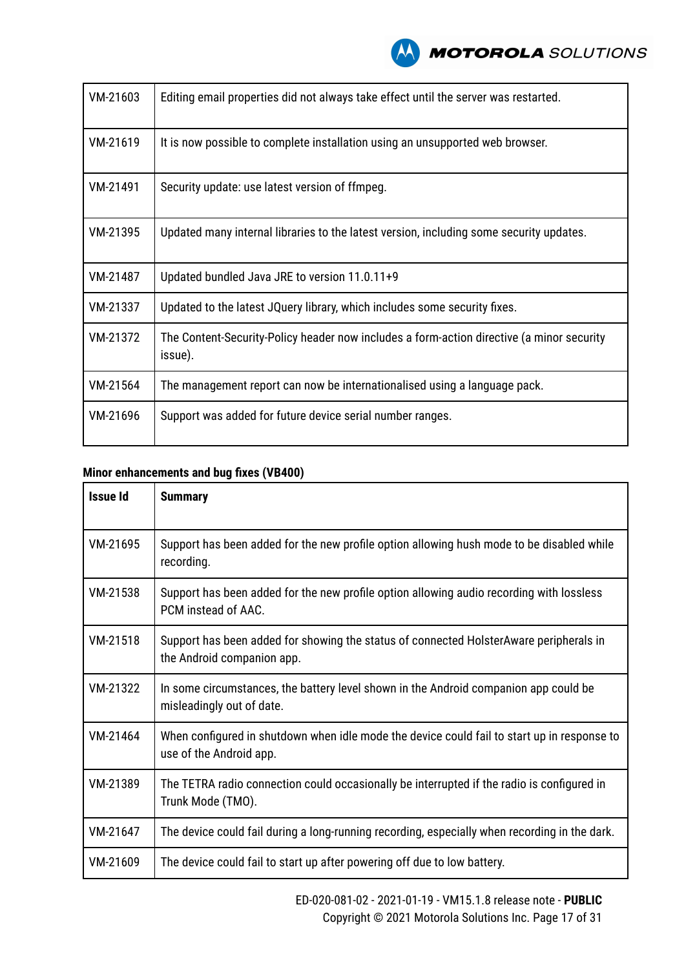

| VM-21603 | Editing email properties did not always take effect until the server was restarted.                  |
|----------|------------------------------------------------------------------------------------------------------|
| VM-21619 | It is now possible to complete installation using an unsupported web browser.                        |
| VM-21491 | Security update: use latest version of ffmpeg.                                                       |
| VM-21395 | Updated many internal libraries to the latest version, including some security updates.              |
| VM-21487 | Updated bundled Java JRE to version 11.0.11+9                                                        |
| VM-21337 | Updated to the latest JQuery library, which includes some security fixes.                            |
| VM-21372 | The Content-Security-Policy header now includes a form-action directive (a minor security<br>issue). |
| VM-21564 | The management report can now be internationalised using a language pack.                            |
| VM-21696 | Support was added for future device serial number ranges.                                            |

| <b>Issue Id</b> | <b>Summary</b>                                                                                                         |
|-----------------|------------------------------------------------------------------------------------------------------------------------|
| VM-21695        | Support has been added for the new profile option allowing hush mode to be disabled while<br>recording.                |
| VM-21538        | Support has been added for the new profile option allowing audio recording with lossless<br>PCM instead of AAC.        |
| VM-21518        | Support has been added for showing the status of connected HolsterAware peripherals in<br>the Android companion app.   |
| VM-21322        | In some circumstances, the battery level shown in the Android companion app could be<br>misleadingly out of date.      |
| VM-21464        | When configured in shutdown when idle mode the device could fail to start up in response to<br>use of the Android app. |
| VM-21389        | The TETRA radio connection could occasionally be interrupted if the radio is configured in<br>Trunk Mode (TMO).        |
| VM-21647        | The device could fail during a long-running recording, especially when recording in the dark.                          |
| VM-21609        | The device could fail to start up after powering off due to low battery.                                               |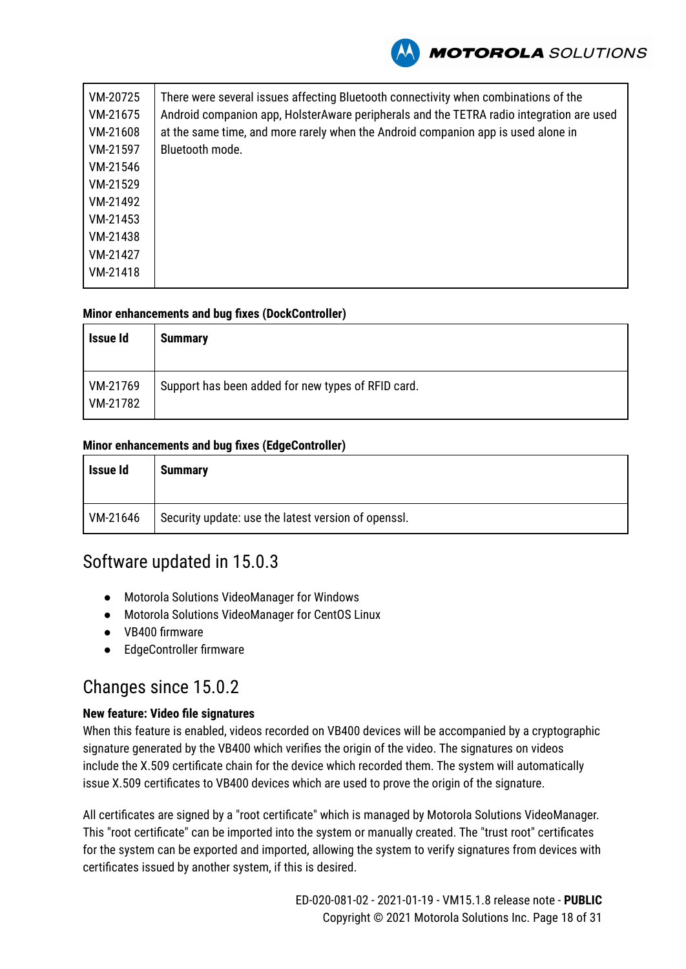

| VM-20725 | There were several issues affecting Bluetooth connectivity when combinations of the      |
|----------|------------------------------------------------------------------------------------------|
| VM-21675 | Android companion app, HolsterAware peripherals and the TETRA radio integration are used |
| VM-21608 | at the same time, and more rarely when the Android companion app is used alone in        |
| VM-21597 | Bluetooth mode.                                                                          |
| VM-21546 |                                                                                          |
| VM-21529 |                                                                                          |
| VM-21492 |                                                                                          |
| VM-21453 |                                                                                          |
| VM-21438 |                                                                                          |
| VM-21427 |                                                                                          |
| VM-21418 |                                                                                          |
|          |                                                                                          |

#### **Minor enhancements and bug fixes (DockController)**

| Issue Id             | <b>Summary</b>                                     |
|----------------------|----------------------------------------------------|
| VM-21769<br>VM-21782 | Support has been added for new types of RFID card. |

#### **Minor enhancements and bug fixes (EdgeController)**

| <b>Issue Id</b> | Summary                                             |
|-----------------|-----------------------------------------------------|
| VM-21646        | Security update: use the latest version of openssl. |

### Software updated in 15.0.3

- Motorola Solutions VideoManager for Windows
- Motorola Solutions VideoManager for CentOS Linux
- VB400 firmware
- EdgeController firmware

### Changes since 15.0.2

#### **New feature: Video file signatures**

When this feature is enabled, videos recorded on VB400 devices will be accompanied by a cryptographic signature generated by the VB400 which verifies the origin of the video. The signatures on videos include the X.509 certificate chain for the device which recorded them. The system will automatically issue X.509 certificates to VB400 devices which are used to prove the origin of the signature.

All certificates are signed by a "root certificate" which is managed by Motorola Solutions VideoManager. This "root certificate" can be imported into the system or manually created. The "trust root" certificates for the system can be exported and imported, allowing the system to verify signatures from devices with certificates issued by another system, if this is desired.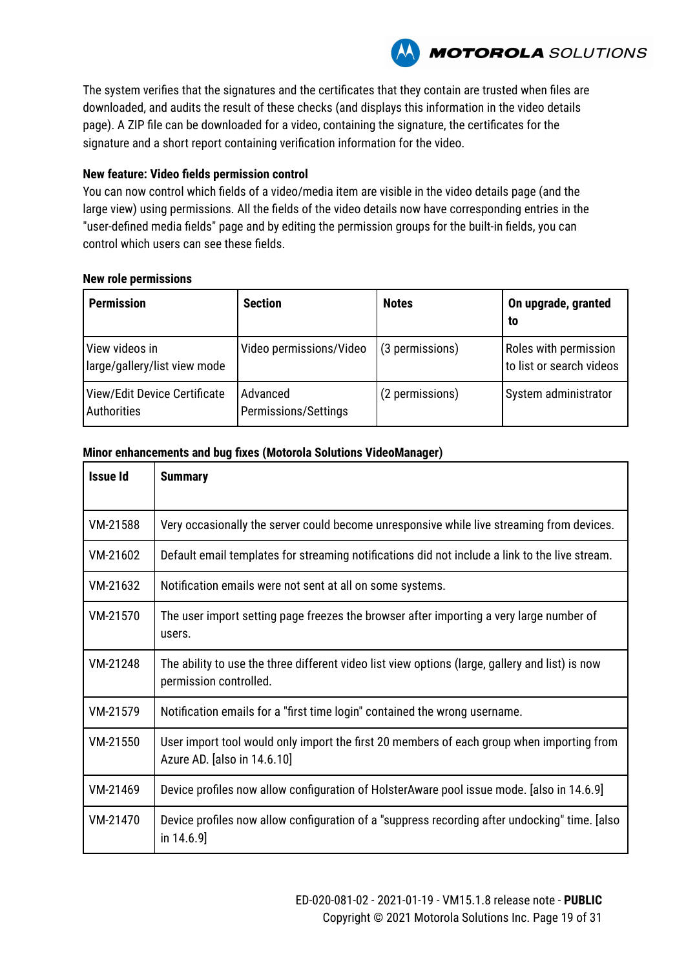**MOTOROLA** SOLUTIONS

The system verifies that the signatures and the certificates that they contain are trusted when files are downloaded, and audits the result of these checks (and displays this information in the video details page). A ZIP file can be downloaded for a video, containing the signature, the certificates for the signature and a short report containing verification information for the video.

#### **New feature: Video fields permission control**

You can now control which fields of a video/media item are visible in the video details page (and the large view) using permissions. All the fields of the video details now have corresponding entries in the "user-defined media fields" page and by editing the permission groups for the built-in fields, you can control which users can see these fields.

#### **New role permissions**

| <b>Permission</b>                              | <b>Section</b>                   | <b>Notes</b>    | On upgrade, granted<br>to                                |
|------------------------------------------------|----------------------------------|-----------------|----------------------------------------------------------|
| View videos in<br>large/gallery/list view mode | Video permissions/Video          | (3 permissions) | <b>Roles with permission</b><br>to list or search videos |
| View/Edit Device Certificate<br>Authorities    | Advanced<br>Permissions/Settings | (2 permissions) | System administrator                                     |

#### **Minor enhancements and bug fixes (Motorola Solutions VideoManager)**

| <b>Issue Id</b> | <b>Summary</b>                                                                                                            |
|-----------------|---------------------------------------------------------------------------------------------------------------------------|
| VM-21588        | Very occasionally the server could become unresponsive while live streaming from devices.                                 |
| VM-21602        | Default email templates for streaming notifications did not include a link to the live stream.                            |
| VM-21632        | Notification emails were not sent at all on some systems.                                                                 |
| VM-21570        | The user import setting page freezes the browser after importing a very large number of<br>users.                         |
| VM-21248        | The ability to use the three different video list view options (large, gallery and list) is now<br>permission controlled. |
| VM-21579        | Notification emails for a "first time login" contained the wrong username.                                                |
| VM-21550        | User import tool would only import the first 20 members of each group when importing from<br>Azure AD. [also in 14.6.10]  |
| VM-21469        | Device profiles now allow configuration of HolsterAware pool issue mode. [also in 14.6.9]                                 |
| VM-21470        | Device profiles now allow configuration of a "suppress recording after undocking" time. [also]<br>in $14.6.9$ ]           |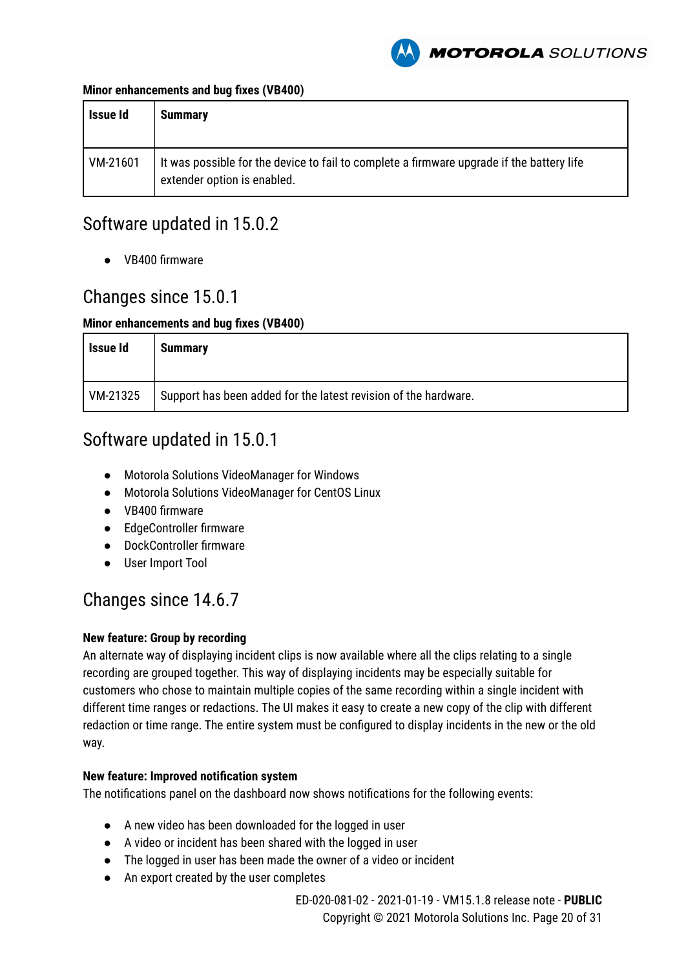

#### **Minor enhancements and bug fixes (VB400)**

| Issue Id | <b>Summary</b>                                                                                                           |
|----------|--------------------------------------------------------------------------------------------------------------------------|
| VM-21601 | It was possible for the device to fail to complete a firmware upgrade if the battery life<br>extender option is enabled. |

### Software updated in 15.0.2

● VB400 firmware

### Changes since 15.0.1

#### **Minor enhancements and bug fixes (VB400)**

| Issue Id | <b>Summary</b>                                                  |
|----------|-----------------------------------------------------------------|
| VM-21325 | Support has been added for the latest revision of the hardware. |

### Software updated in 15.0.1

- Motorola Solutions VideoManager for Windows
- Motorola Solutions VideoManager for CentOS Linux
- VB400 firmware
- EdgeController firmware
- DockController firmware
- User Import Tool

### Changes since 14.6.7

#### **New feature: Group by recording**

An alternate way of displaying incident clips is now available where all the clips relating to a single recording are grouped together. This way of displaying incidents may be especially suitable for customers who chose to maintain multiple copies of the same recording within a single incident with different time ranges or redactions. The UI makes it easy to create a new copy of the clip with different redaction or time range. The entire system must be configured to display incidents in the new or the old way.

#### **New feature: Improved notification system**

The notifications panel on the dashboard now shows notifications for the following events:

- A new video has been downloaded for the logged in user
- A video or incident has been shared with the logged in user
- The logged in user has been made the owner of a video or incident
- An export created by the user completes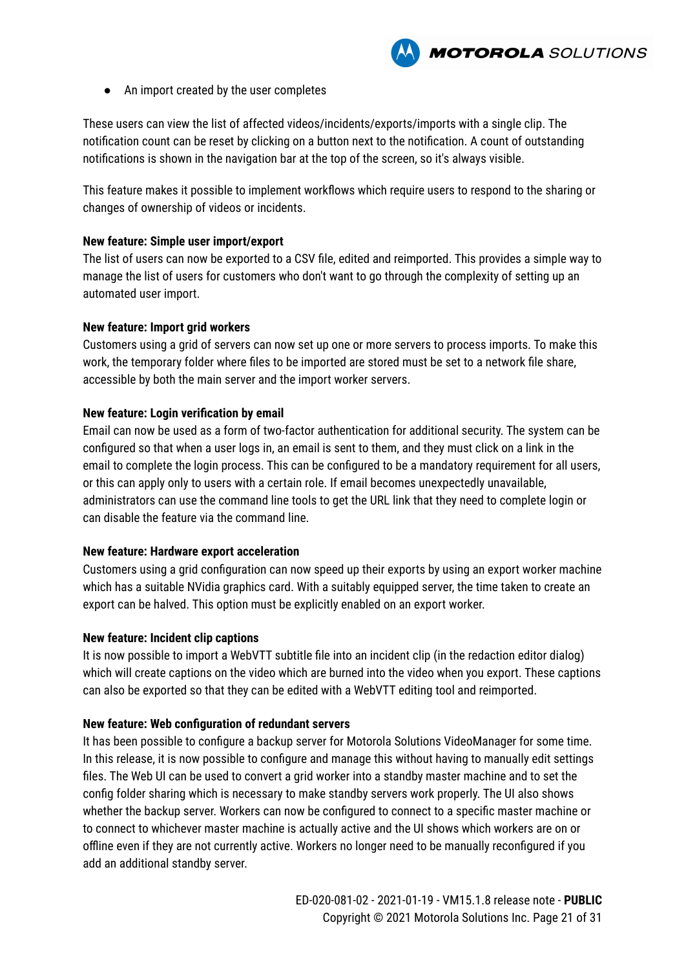

● An import created by the user completes

These users can view the list of affected videos/incidents/exports/imports with a single clip. The notification count can be reset by clicking on a button next to the notification. A count of outstanding notifications is shown in the navigation bar at the top of the screen, so it's always visible.

This feature makes it possible to implement workflows which require users to respond to the sharing or changes of ownership of videos or incidents.

#### **New feature: Simple user import/export**

The list of users can now be exported to a CSV file, edited and reimported. This provides a simple way to manage the list of users for customers who don't want to go through the complexity of setting up an automated user import.

#### **New feature: Import grid workers**

Customers using a grid of servers can now set up one or more servers to process imports. To make this work, the temporary folder where files to be imported are stored must be set to a network file share, accessible by both the main server and the import worker servers.

#### **New feature: Login verification by email**

Email can now be used as a form of two-factor authentication for additional security. The system can be configured so that when a user logs in, an email is sent to them, and they must click on a link in the email to complete the login process. This can be configured to be a mandatory requirement for all users, or this can apply only to users with a certain role. If email becomes unexpectedly unavailable, administrators can use the command line tools to get the URL link that they need to complete login or can disable the feature via the command line.

#### **New feature: Hardware export acceleration**

Customers using a grid configuration can now speed up their exports by using an export worker machine which has a suitable NVidia graphics card. With a suitably equipped server, the time taken to create an export can be halved. This option must be explicitly enabled on an export worker.

#### **New feature: Incident clip captions**

It is now possible to import a WebVTT subtitle file into an incident clip (in the redaction editor dialog) which will create captions on the video which are burned into the video when you export. These captions can also be exported so that they can be edited with a WebVTT editing tool and reimported.

#### **New feature: Web configuration of redundant servers**

It has been possible to configure a backup server for Motorola Solutions VideoManager for some time. In this release, it is now possible to configure and manage this without having to manually edit settings files. The Web UI can be used to convert a grid worker into a standby master machine and to set the config folder sharing which is necessary to make standby servers work properly. The UI also shows whether the backup server. Workers can now be configured to connect to a specific master machine or to connect to whichever master machine is actually active and the UI shows which workers are on or offline even if they are not currently active. Workers no longer need to be manually reconfigured if you add an additional standby server.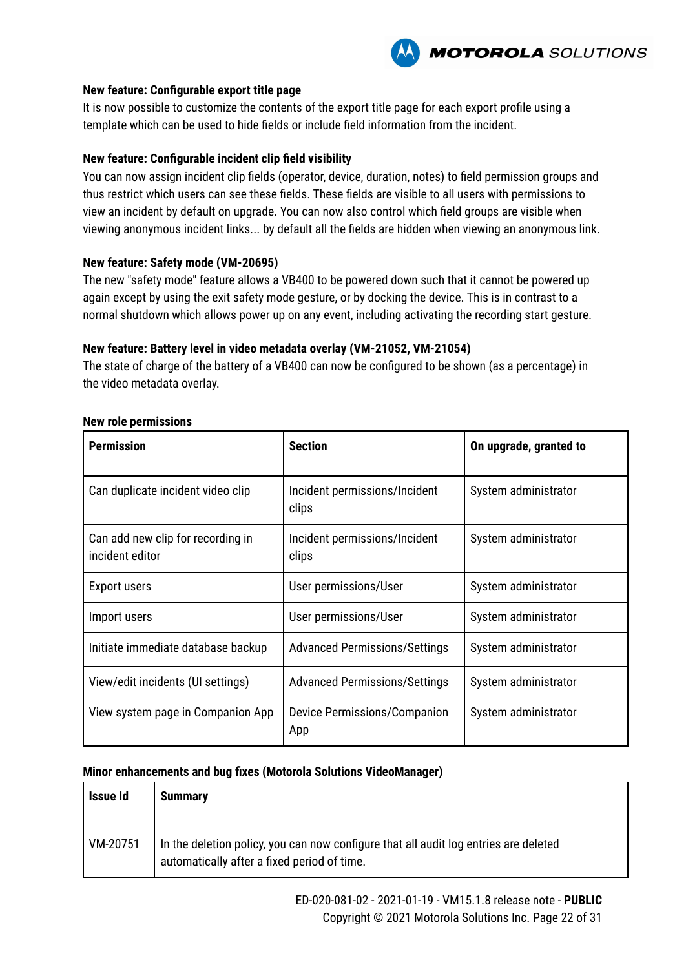

#### **New feature: Configurable export title page**

It is now possible to customize the contents of the export title page for each export profile using a template which can be used to hide fields or include field information from the incident.

#### **New feature: Configurable incident clip field visibility**

You can now assign incident clip fields (operator, device, duration, notes) to field permission groups and thus restrict which users can see these fields. These fields are visible to all users with permissions to view an incident by default on upgrade. You can now also control which field groups are visible when viewing anonymous incident links... by default all the fields are hidden when viewing an anonymous link.

#### **New feature: Safety mode (VM-20695)**

The new "safety mode" feature allows a VB400 to be powered down such that it cannot be powered up again except by using the exit safety mode gesture, or by docking the device. This is in contrast to a normal shutdown which allows power up on any event, including activating the recording start gesture.

#### **New feature: Battery level in video metadata overlay (VM-21052, VM-21054)**

The state of charge of the battery of a VB400 can now be configured to be shown (as a percentage) in the video metadata overlay.

| <b>Permission</b>                                    | <b>Section</b>                         | On upgrade, granted to |
|------------------------------------------------------|----------------------------------------|------------------------|
| Can duplicate incident video clip                    | Incident permissions/Incident<br>clips | System administrator   |
| Can add new clip for recording in<br>incident editor | Incident permissions/Incident<br>clips | System administrator   |
| Export users                                         | User permissions/User                  | System administrator   |
| Import users                                         | User permissions/User                  | System administrator   |
| Initiate immediate database backup                   | <b>Advanced Permissions/Settings</b>   | System administrator   |
| View/edit incidents (UI settings)                    | <b>Advanced Permissions/Settings</b>   | System administrator   |
| View system page in Companion App                    | Device Permissions/Companion<br>App    | System administrator   |

#### **New role permissions**

#### **Minor enhancements and bug fixes (Motorola Solutions VideoManager)**

| <b>Issue Id</b> | <b>Summary</b>                                                                                                                      |
|-----------------|-------------------------------------------------------------------------------------------------------------------------------------|
| VM-20751        | In the deletion policy, you can now configure that all audit log entries are deleted<br>automatically after a fixed period of time. |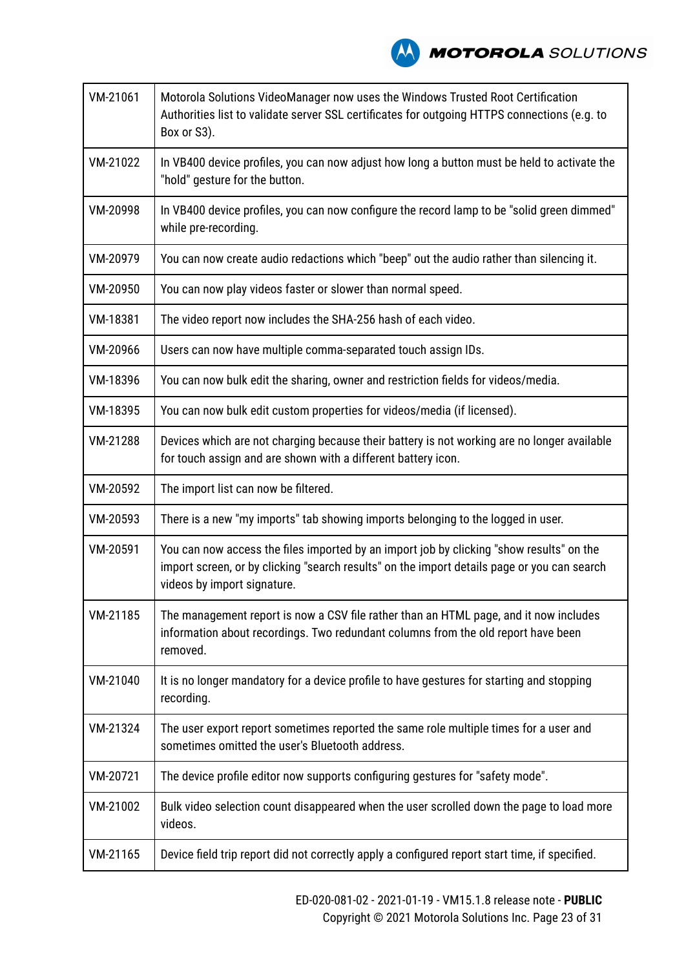

| VM-21061 | Motorola Solutions VideoManager now uses the Windows Trusted Root Certification<br>Authorities list to validate server SSL certificates for outgoing HTTPS connections (e.g. to<br>Box or S3).                         |  |
|----------|------------------------------------------------------------------------------------------------------------------------------------------------------------------------------------------------------------------------|--|
| VM-21022 | In VB400 device profiles, you can now adjust how long a button must be held to activate the<br>"hold" gesture for the button.                                                                                          |  |
| VM-20998 | In VB400 device profiles, you can now configure the record lamp to be "solid green dimmed"<br>while pre-recording.                                                                                                     |  |
| VM-20979 | You can now create audio redactions which "beep" out the audio rather than silencing it.                                                                                                                               |  |
| VM-20950 | You can now play videos faster or slower than normal speed.                                                                                                                                                            |  |
| VM-18381 | The video report now includes the SHA-256 hash of each video.                                                                                                                                                          |  |
| VM-20966 | Users can now have multiple comma-separated touch assign IDs.                                                                                                                                                          |  |
| VM-18396 | You can now bulk edit the sharing, owner and restriction fields for videos/media.                                                                                                                                      |  |
| VM-18395 | You can now bulk edit custom properties for videos/media (if licensed).                                                                                                                                                |  |
| VM-21288 | Devices which are not charging because their battery is not working are no longer available<br>for touch assign and are shown with a different battery icon.                                                           |  |
| VM-20592 | The import list can now be filtered.                                                                                                                                                                                   |  |
| VM-20593 | There is a new "my imports" tab showing imports belonging to the logged in user.                                                                                                                                       |  |
| VM-20591 | You can now access the files imported by an import job by clicking "show results" on the<br>import screen, or by clicking "search results" on the import details page or you can search<br>videos by import signature. |  |
| VM-21185 | The management report is now a CSV file rather than an HTML page, and it now includes<br>information about recordings. Two redundant columns from the old report have been<br>removed.                                 |  |
| VM-21040 | It is no longer mandatory for a device profile to have gestures for starting and stopping<br>recording.                                                                                                                |  |
| VM-21324 | The user export report sometimes reported the same role multiple times for a user and<br>sometimes omitted the user's Bluetooth address.                                                                               |  |
| VM-20721 | The device profile editor now supports configuring gestures for "safety mode".                                                                                                                                         |  |
| VM-21002 | Bulk video selection count disappeared when the user scrolled down the page to load more<br>videos.                                                                                                                    |  |
| VM-21165 | Device field trip report did not correctly apply a configured report start time, if specified.                                                                                                                         |  |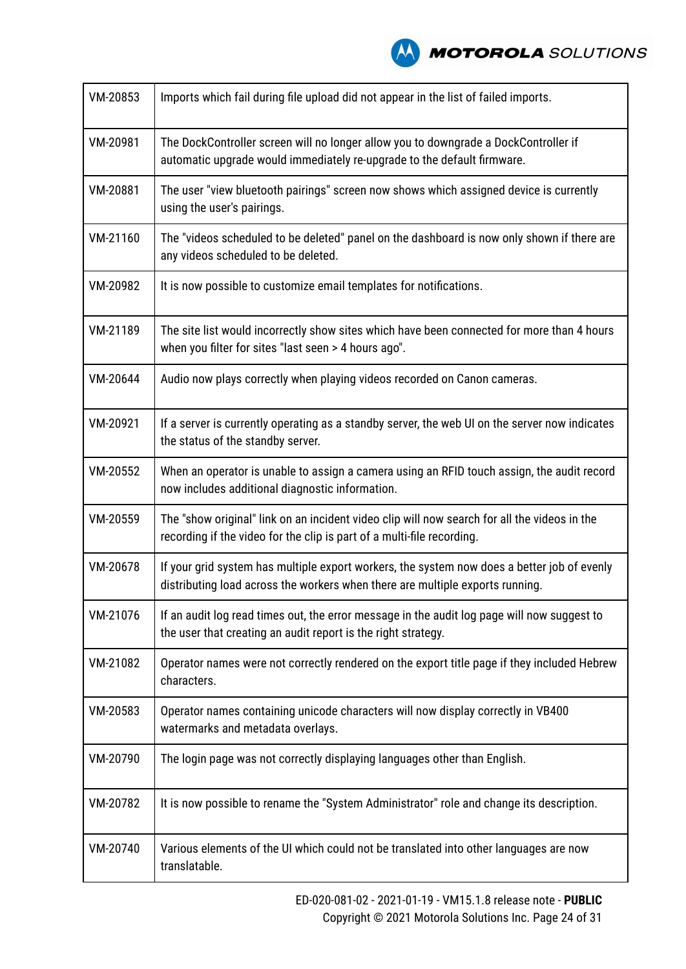

| VM-20853 | Imports which fail during file upload did not appear in the list of failed imports.                                                                                          |
|----------|------------------------------------------------------------------------------------------------------------------------------------------------------------------------------|
| VM-20981 | The DockController screen will no longer allow you to downgrade a DockController if<br>automatic upgrade would immediately re-upgrade to the default firmware.               |
| VM-20881 | The user "view bluetooth pairings" screen now shows which assigned device is currently<br>using the user's pairings.                                                         |
| VM-21160 | The "videos scheduled to be deleted" panel on the dashboard is now only shown if there are<br>any videos scheduled to be deleted.                                            |
| VM-20982 | It is now possible to customize email templates for notifications.                                                                                                           |
| VM-21189 | The site list would incorrectly show sites which have been connected for more than 4 hours<br>when you filter for sites "last seen > 4 hours ago".                           |
| VM-20644 | Audio now plays correctly when playing videos recorded on Canon cameras.                                                                                                     |
| VM-20921 | If a server is currently operating as a standby server, the web UI on the server now indicates<br>the status of the standby server.                                          |
| VM-20552 | When an operator is unable to assign a camera using an RFID touch assign, the audit record<br>now includes additional diagnostic information.                                |
| VM-20559 | The "show original" link on an incident video clip will now search for all the videos in the<br>recording if the video for the clip is part of a multi-file recording.       |
| VM-20678 | If your grid system has multiple export workers, the system now does a better job of evenly<br>distributing load across the workers when there are multiple exports running. |
| VM-21076 | If an audit log read times out, the error message in the audit log page will now suggest to<br>the user that creating an audit report is the right strategy.                 |
| VM-21082 | Operator names were not correctly rendered on the export title page if they included Hebrew<br>characters.                                                                   |
| VM-20583 | Operator names containing unicode characters will now display correctly in VB400<br>watermarks and metadata overlays.                                                        |
| VM-20790 | The login page was not correctly displaying languages other than English.                                                                                                    |
| VM-20782 | It is now possible to rename the "System Administrator" role and change its description.                                                                                     |
| VM-20740 | Various elements of the UI which could not be translated into other languages are now<br>translatable.                                                                       |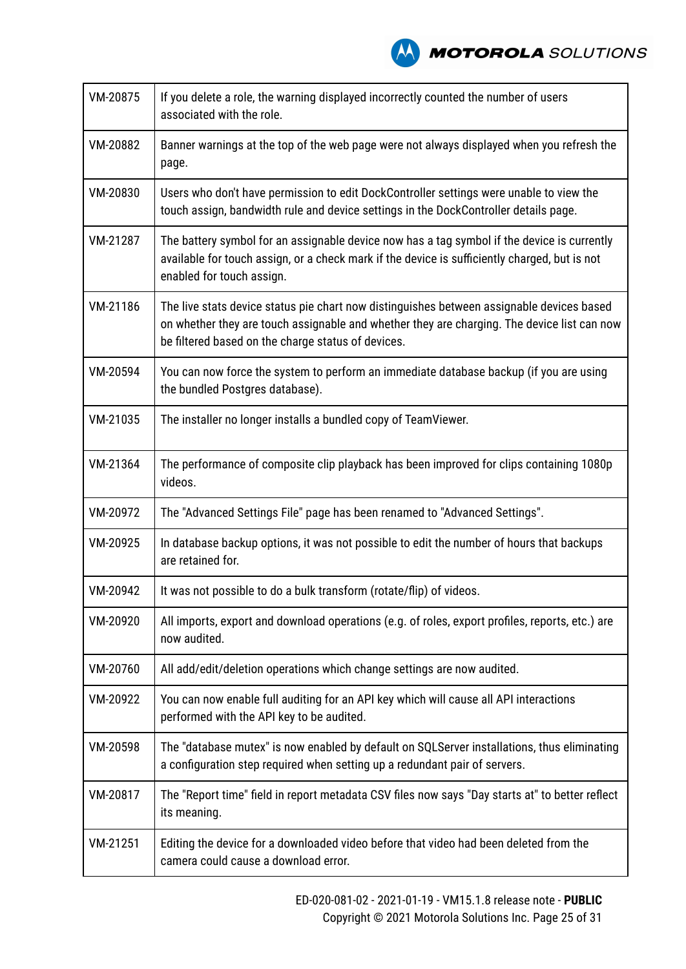**A MOTOROLA** SOLUTIONS

| VM-20875 | If you delete a role, the warning displayed incorrectly counted the number of users<br>associated with the role.                                                                                                                               |
|----------|------------------------------------------------------------------------------------------------------------------------------------------------------------------------------------------------------------------------------------------------|
| VM-20882 | Banner warnings at the top of the web page were not always displayed when you refresh the<br>page.                                                                                                                                             |
| VM-20830 | Users who don't have permission to edit DockController settings were unable to view the<br>touch assign, bandwidth rule and device settings in the DockController details page.                                                                |
| VM-21287 | The battery symbol for an assignable device now has a tag symbol if the device is currently<br>available for touch assign, or a check mark if the device is sufficiently charged, but is not<br>enabled for touch assign.                      |
| VM-21186 | The live stats device status pie chart now distinguishes between assignable devices based<br>on whether they are touch assignable and whether they are charging. The device list can now<br>be filtered based on the charge status of devices. |
| VM-20594 | You can now force the system to perform an immediate database backup (if you are using<br>the bundled Postgres database).                                                                                                                      |
| VM-21035 | The installer no longer installs a bundled copy of TeamViewer.                                                                                                                                                                                 |
| VM-21364 | The performance of composite clip playback has been improved for clips containing 1080p<br>videos.                                                                                                                                             |
| VM-20972 | The "Advanced Settings File" page has been renamed to "Advanced Settings".                                                                                                                                                                     |
| VM-20925 | In database backup options, it was not possible to edit the number of hours that backups<br>are retained for.                                                                                                                                  |
| VM-20942 | It was not possible to do a bulk transform (rotate/flip) of videos.                                                                                                                                                                            |
| VM-20920 | All imports, export and download operations (e.g. of roles, export profiles, reports, etc.) are<br>now audited.                                                                                                                                |
| VM-20760 | All add/edit/deletion operations which change settings are now audited.                                                                                                                                                                        |
| VM-20922 | You can now enable full auditing for an API key which will cause all API interactions<br>performed with the API key to be audited.                                                                                                             |
| VM-20598 | The "database mutex" is now enabled by default on SQLServer installations, thus eliminating<br>a configuration step required when setting up a redundant pair of servers.                                                                      |
| VM-20817 | The "Report time" field in report metadata CSV files now says "Day starts at" to better reflect<br>its meaning.                                                                                                                                |
| VM-21251 | Editing the device for a downloaded video before that video had been deleted from the<br>camera could cause a download error.                                                                                                                  |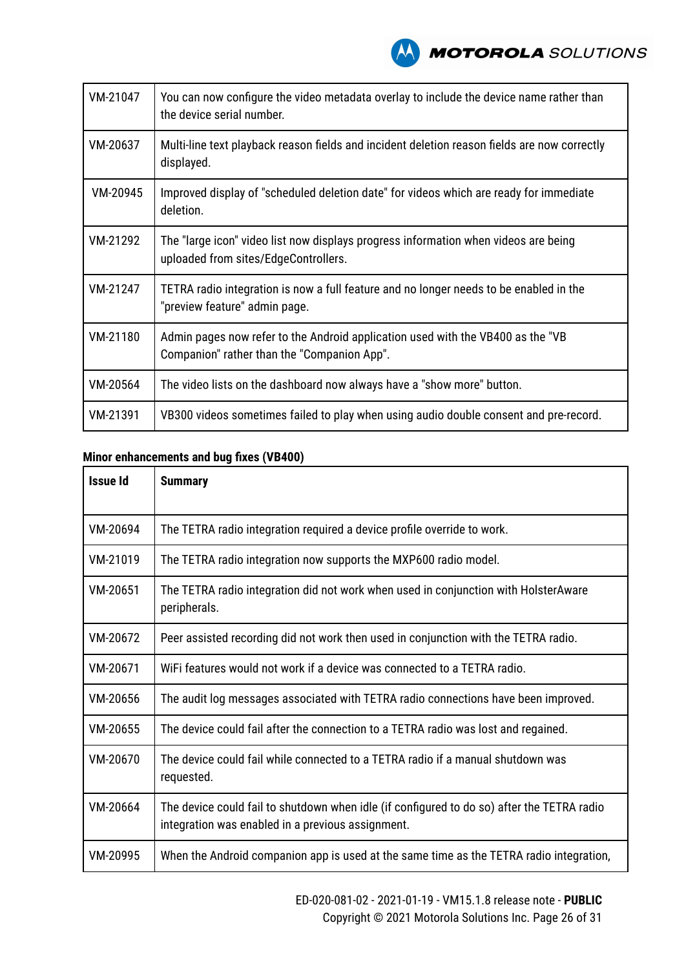

| VM-21047 | You can now configure the video metadata overlay to include the device name rather than<br>the device serial number.           |
|----------|--------------------------------------------------------------------------------------------------------------------------------|
| VM-20637 | Multi-line text playback reason fields and incident deletion reason fields are now correctly<br>displayed.                     |
| VM-20945 | Improved display of "scheduled deletion date" for videos which are ready for immediate<br>deletion.                            |
| VM-21292 | The "large icon" video list now displays progress information when videos are being<br>uploaded from sites/EdgeControllers.    |
| VM-21247 | TETRA radio integration is now a full feature and no longer needs to be enabled in the<br>"preview feature" admin page.        |
| VM-21180 | Admin pages now refer to the Android application used with the VB400 as the "VB<br>Companion" rather than the "Companion App". |
| VM-20564 | The video lists on the dashboard now always have a "show more" button.                                                         |
| VM-21391 | VB300 videos sometimes failed to play when using audio double consent and pre-record.                                          |

| <b>Issue Id</b> | <b>Summary</b>                                                                                                                                  |
|-----------------|-------------------------------------------------------------------------------------------------------------------------------------------------|
| VM-20694        | The TETRA radio integration required a device profile override to work.                                                                         |
| VM-21019        | The TETRA radio integration now supports the MXP600 radio model.                                                                                |
| VM-20651        | The TETRA radio integration did not work when used in conjunction with HolsterAware<br>peripherals.                                             |
| VM-20672        | Peer assisted recording did not work then used in conjunction with the TETRA radio.                                                             |
| VM-20671        | WiFi features would not work if a device was connected to a TETRA radio.                                                                        |
| VM-20656        | The audit log messages associated with TETRA radio connections have been improved.                                                              |
| VM-20655        | The device could fail after the connection to a TETRA radio was lost and regained.                                                              |
| VM-20670        | The device could fail while connected to a TETRA radio if a manual shutdown was<br>requested.                                                   |
| VM-20664        | The device could fail to shutdown when idle (if configured to do so) after the TETRA radio<br>integration was enabled in a previous assignment. |
| VM-20995        | When the Android companion app is used at the same time as the TETRA radio integration,                                                         |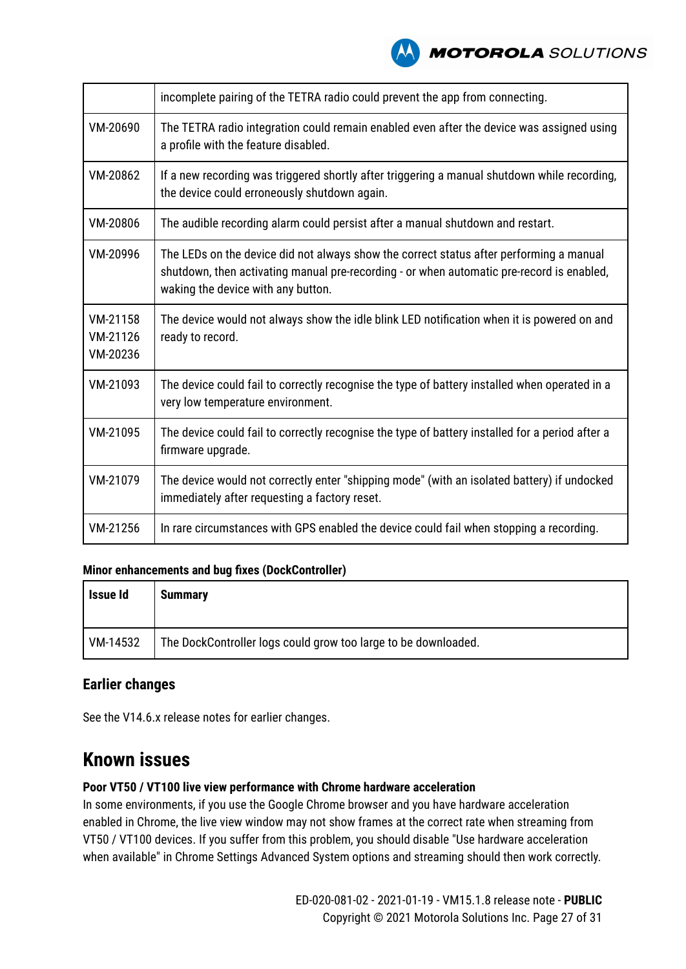

|                                  | incomplete pairing of the TETRA radio could prevent the app from connecting.                                                                                                                                               |
|----------------------------------|----------------------------------------------------------------------------------------------------------------------------------------------------------------------------------------------------------------------------|
| VM-20690                         | The TETRA radio integration could remain enabled even after the device was assigned using<br>a profile with the feature disabled.                                                                                          |
| VM-20862                         | If a new recording was triggered shortly after triggering a manual shutdown while recording,<br>the device could erroneously shutdown again.                                                                               |
| VM-20806                         | The audible recording alarm could persist after a manual shutdown and restart.                                                                                                                                             |
| VM-20996                         | The LEDs on the device did not always show the correct status after performing a manual<br>shutdown, then activating manual pre-recording - or when automatic pre-record is enabled,<br>waking the device with any button. |
| VM-21158<br>VM-21126<br>VM-20236 | The device would not always show the idle blink LED notification when it is powered on and<br>ready to record.                                                                                                             |
| VM-21093                         | The device could fail to correctly recognise the type of battery installed when operated in a<br>very low temperature environment.                                                                                         |
| VM-21095                         | The device could fail to correctly recognise the type of battery installed for a period after a<br>firmware upgrade.                                                                                                       |
| VM-21079                         | The device would not correctly enter "shipping mode" (with an isolated battery) if undocked<br>immediately after requesting a factory reset.                                                                               |
| VM-21256                         | In rare circumstances with GPS enabled the device could fail when stopping a recording.                                                                                                                                    |

#### **Minor enhancements and bug fixes (DockController)**

| Issue Id | <b>Summary</b>                                                 |
|----------|----------------------------------------------------------------|
| VM-14532 | The DockController logs could grow too large to be downloaded. |

#### **Earlier changes**

See the V14.6.x release notes for earlier changes.

### **Known issues**

#### **Poor VT50 / VT100 live view performance with Chrome hardware acceleration**

In some environments, if you use the Google Chrome browser and you have hardware acceleration enabled in Chrome, the live view window may not show frames at the correct rate when streaming from VT50 / VT100 devices. If you suffer from this problem, you should disable "Use hardware acceleration when available" in Chrome Settings Advanced System options and streaming should then work correctly.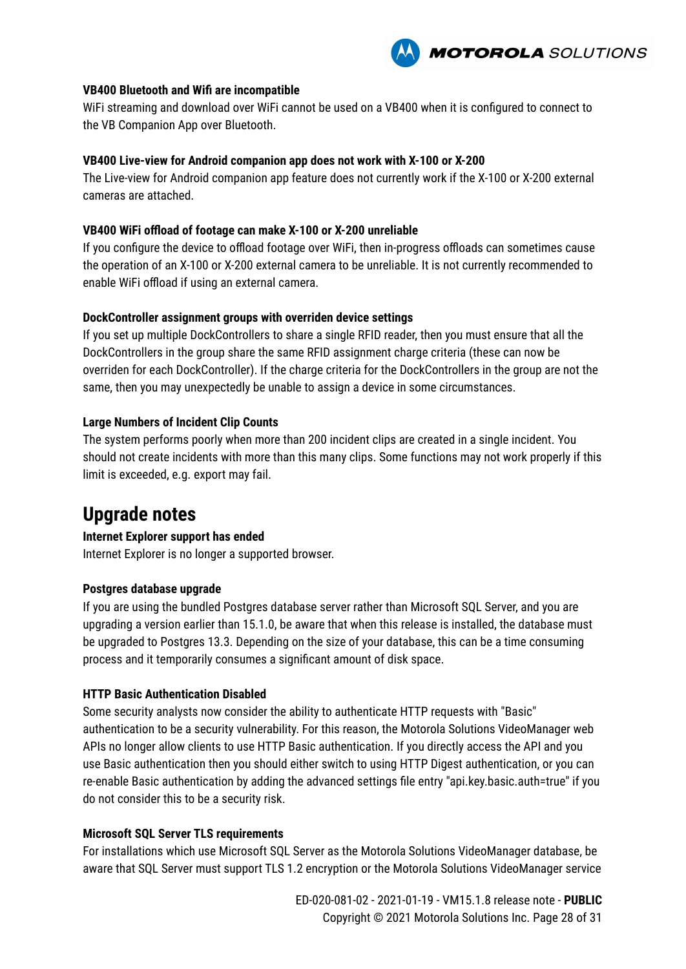

#### **VB400 Bluetooth and Wifi are incompatible**

WiFi streaming and download over WiFi cannot be used on a VB400 when it is configured to connect to the VB Companion App over Bluetooth.

#### **VB400 Live-view for Android companion app does not work with X-100 or X-200**

The Live-view for Android companion app feature does not currently work if the X-100 or X-200 external cameras are attached.

#### **VB400 WiFi offload of footage can make X-100 or X-200 unreliable**

If you configure the device to offload footage over WiFi, then in-progress offloads can sometimes cause the operation of an X-100 or X-200 external camera to be unreliable. It is not currently recommended to enable WiFi offload if using an external camera.

#### **DockController assignment groups with overriden device settings**

If you set up multiple DockControllers to share a single RFID reader, then you must ensure that all the DockControllers in the group share the same RFID assignment charge criteria (these can now be overriden for each DockController). If the charge criteria for the DockControllers in the group are not the same, then you may unexpectedly be unable to assign a device in some circumstances.

#### **Large Numbers of Incident Clip Counts**

The system performs poorly when more than 200 incident clips are created in a single incident. You should not create incidents with more than this many clips. Some functions may not work properly if this limit is exceeded, e.g. export may fail.

### **Upgrade notes**

#### **Internet Explorer support has ended**

Internet Explorer is no longer a supported browser.

#### **Postgres database upgrade**

If you are using the bundled Postgres database server rather than Microsoft SQL Server, and you are upgrading a version earlier than 15.1.0, be aware that when this release is installed, the database must be upgraded to Postgres 13.3. Depending on the size of your database, this can be a time consuming process and it temporarily consumes a significant amount of disk space.

#### **HTTP Basic Authentication Disabled**

Some security analysts now consider the ability to authenticate HTTP requests with "Basic" authentication to be a security vulnerability. For this reason, the Motorola Solutions VideoManager web APIs no longer allow clients to use HTTP Basic authentication. If you directly access the API and you use Basic authentication then you should either switch to using HTTP Digest authentication, or you can re-enable Basic authentication by adding the advanced settings file entry "api.key.basic.auth=true" if you do not consider this to be a security risk.

#### **Microsoft SQL Server TLS requirements**

For installations which use Microsoft SQL Server as the Motorola Solutions VideoManager database, be aware that SQL Server must support TLS 1.2 encryption or the Motorola Solutions VideoManager service

> ED-020-081-02 - 2021-01-19 - VM15.1.8 release note - **PUBLIC** Copyright © 2021 Motorola Solutions Inc. Page 28 of 31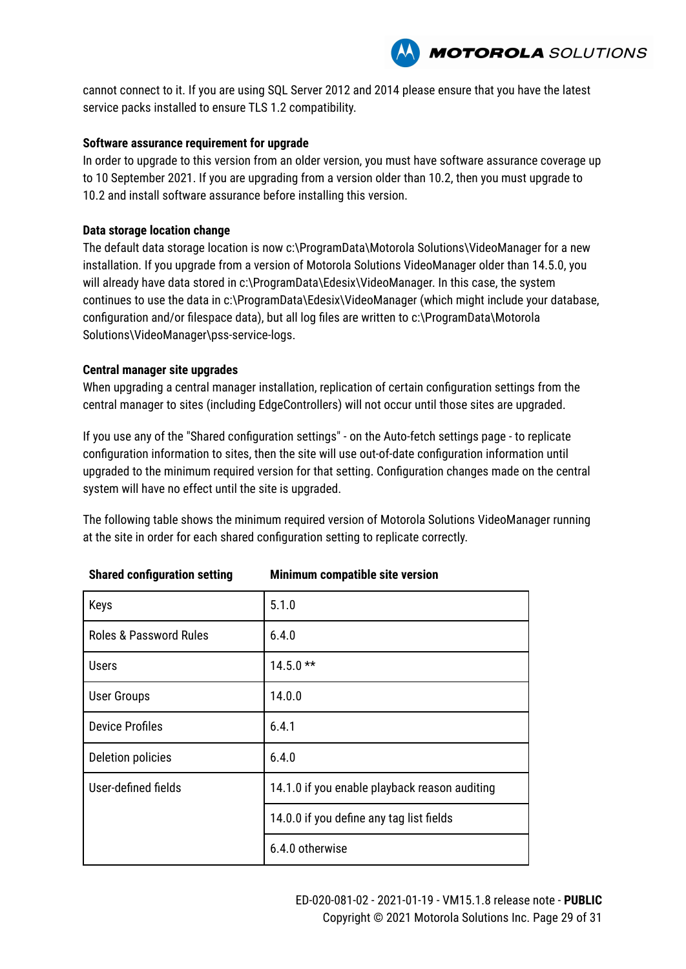

cannot connect to it. If you are using SQL Server 2012 and 2014 please ensure that you have the latest service packs installed to ensure TLS 1.2 compatibility.

#### **Software assurance requirement for upgrade**

In order to upgrade to this version from an older version, you must have software assurance coverage up to 10 September 2021. If you are upgrading from a version older than 10.2, then you must upgrade to 10.2 and install software assurance before installing this version.

#### **Data storage location change**

The default data storage location is now c:\ProgramData\Motorola Solutions\VideoManager for a new installation. If you upgrade from a version of Motorola Solutions VideoManager older than 14.5.0, you will already have data stored in c:\ProgramData\Edesix\VideoManager. In this case, the system continues to use the data in c:\ProgramData\Edesix\VideoManager (which might include your database, configuration and/or filespace data), but all log files are written to c:\ProgramData\Motorola Solutions\VideoManager\pss-service-logs.

#### **Central manager site upgrades**

When upgrading a central manager installation, replication of certain configuration settings from the central manager to sites (including EdgeControllers) will not occur until those sites are upgraded.

If you use any of the "Shared configuration settings" - on the Auto-fetch settings page - to replicate configuration information to sites, then the site will use out-of-date configuration information until upgraded to the minimum required version for that setting. Configuration changes made on the central system will have no effect until the site is upgraded.

The following table shows the minimum required version of Motorola Solutions VideoManager running at the site in order for each shared configuration setting to replicate correctly.

| Keys                              | 5.1.0                                         |
|-----------------------------------|-----------------------------------------------|
| <b>Roles &amp; Password Rules</b> | 6.4.0                                         |
| <b>Users</b>                      | $14.5.0**$                                    |
| <b>User Groups</b>                | 14.0.0                                        |
| <b>Device Profiles</b>            | 6.4.1                                         |
| Deletion policies                 | 6.4.0                                         |
| User-defined fields               | 14.1.0 if you enable playback reason auditing |
|                                   | 14.0.0 if you define any tag list fields      |
|                                   | 6.4.0 otherwise                               |

#### **Shared configuration setting Minimum compatible site version**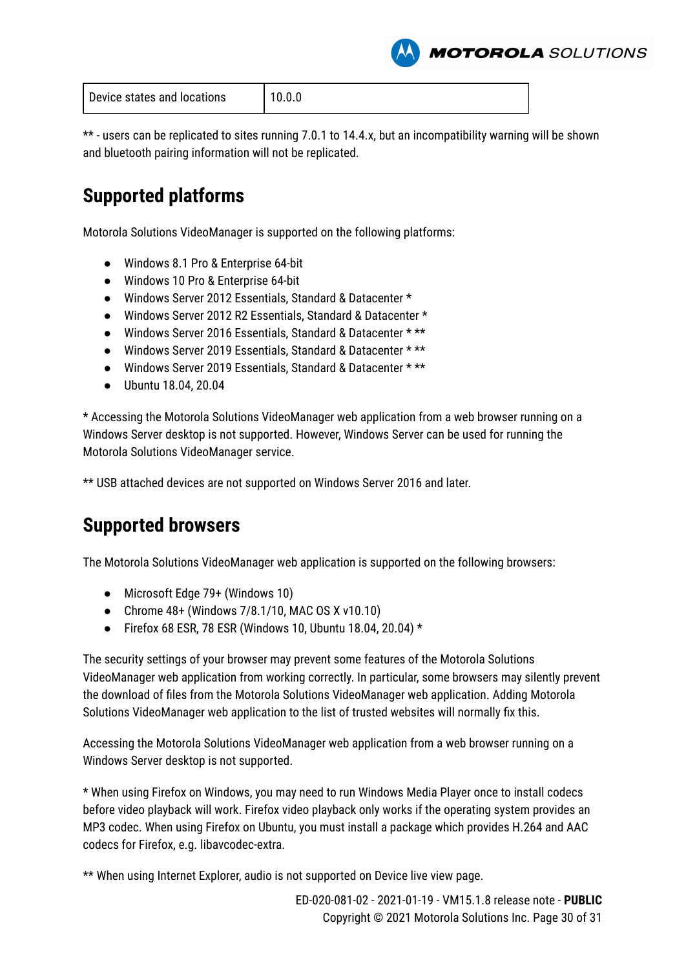**MOTOROLA** SOLUTIONS

| Device states and locations | 10.0.0 |
|-----------------------------|--------|
|                             |        |

\*\* - users can be replicated to sites running 7.0.1 to 14.4.x, but an incompatibility warning will be shown and bluetooth pairing information will not be replicated.

# **Supported platforms**

Motorola Solutions VideoManager is supported on the following platforms:

- Windows 8.1 Pro & Enterprise 64-bit
- Windows 10 Pro & Enterprise 64-bit
- Windows Server 2012 Essentials, Standard & Datacenter \*
- Windows Server 2012 R2 Essentials, Standard & Datacenter \*
- Windows Server 2016 Essentials, Standard & Datacenter \* \*\*
- Windows Server 2019 Essentials, Standard & Datacenter \* \*\*
- Windows Server 2019 Essentials, Standard & Datacenter \* \*\*
- Ubuntu 18.04, 20.04

\* Accessing the Motorola Solutions VideoManager web application from a web browser running on a Windows Server desktop is not supported. However, Windows Server can be used for running the Motorola Solutions VideoManager service.

\*\* USB attached devices are not supported on Windows Server 2016 and later.

# **Supported browsers**

The Motorola Solutions VideoManager web application is supported on the following browsers:

- Microsoft Edge 79+ (Windows 10)
- Chrome 48+ (Windows 7/8.1/10, MAC OS X v10.10)
- Firefox 68 ESR, 78 ESR (Windows 10, Ubuntu 18.04, 20.04)  $*$

The security settings of your browser may prevent some features of the Motorola Solutions VideoManager web application from working correctly. In particular, some browsers may silently prevent the download of files from the Motorola Solutions VideoManager web application. Adding Motorola Solutions VideoManager web application to the list of trusted websites will normally fix this.

Accessing the Motorola Solutions VideoManager web application from a web browser running on a Windows Server desktop is not supported.

\* When using Firefox on Windows, you may need to run Windows Media Player once to install codecs before video playback will work. Firefox video playback only works if the operating system provides an MP3 codec. When using Firefox on Ubuntu, you must install a package which provides H.264 and AAC codecs for Firefox, e.g. libavcodec-extra.

\*\* When using Internet Explorer, audio is not supported on Device live view page.